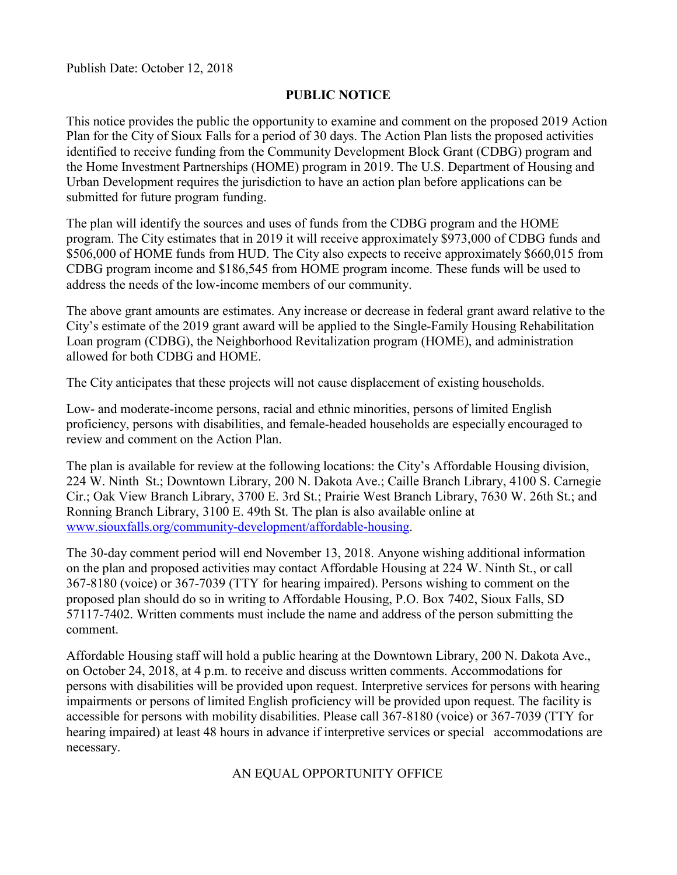Publish Date: October 12, 2018

#### **PUBLIC NOTICE**

This notice provides the public the opportunity to examine and comment on the proposed 2019 Action Plan for the City of Sioux Falls for a period of 30 days. The Action Plan lists the proposed activities identified to receive funding from the Community Development Block Grant (CDBG) program and the Home Investment Partnerships (HOME) program in 2019. The U.S. Department of Housing and Urban Development requires the jurisdiction to have an action plan before applications can be submitted for future program funding.

The plan will identify the sources and uses of funds from the CDBG program and the HOME program. The City estimates that in 2019 it will receive approximately \$973,000 of CDBG funds and \$506,000 of HOME funds from HUD. The City also expects to receive approximately \$660,015 from CDBG program income and \$186,545 from HOME program income. These funds will be used to address the needs of the low-income members of our community.

The above grant amounts are estimates. Any increase or decrease in federal grant award relative to the City's estimate of the 2019 grant award will be applied to the Single-Family Housing Rehabilitation Loan program (CDBG), the Neighborhood Revitalization program (HOME), and administration allowed for both CDBG and HOME.

The City anticipates that these projects will not cause displacement of existing households.

Low- and moderate-income persons, racial and ethnic minorities, persons of limited English proficiency, persons with disabilities, and female-headed households are especially encouraged to review and comment on the Action Plan.

The plan is available for review at the following locations: the City's Affordable Housing division, 224 W. Ninth St.; Downtown Library, 200 N. Dakota Ave.; Caille Branch Library, 4100 S. Carnegie Cir.; Oak View Branch Library, 3700 E. 3rd St.; Prairie West Branch Library, 7630 W. 26th St.; and Ronning Branch Library, 3100 E. 49th St. The plan is also available online at [www.siouxfalls.org/community-development/affordable-housing.](http://www.siouxfalls.org/community-development/affordable-housing)

The 30-day comment period will end November 13, 2018. Anyone wishing additional information on the plan and proposed activities may contact Affordable Housing at 224 W. Ninth St., or call 367-8180 (voice) or 367-7039 (TTY for hearing impaired). Persons wishing to comment on the proposed plan should do so in writing to Affordable Housing, P.O. Box 7402, Sioux Falls, SD 57117-7402. Written comments must include the name and address of the person submitting the comment.

Affordable Housing staff will hold a public hearing at the Downtown Library, 200 N. Dakota Ave., on October 24, 2018, at 4 p.m. to receive and discuss written comments. Accommodations for persons with disabilities will be provided upon request. Interpretive services for persons with hearing impairments or persons of limited English proficiency will be provided upon request. The facility is accessible for persons with mobility disabilities. Please call 367-8180 (voice) or 367-7039 (TTY for hearing impaired) at least 48 hours in advance if interpretive services or special accommodations are necessary.

#### AN EQUAL OPPORTUNITY OFFICE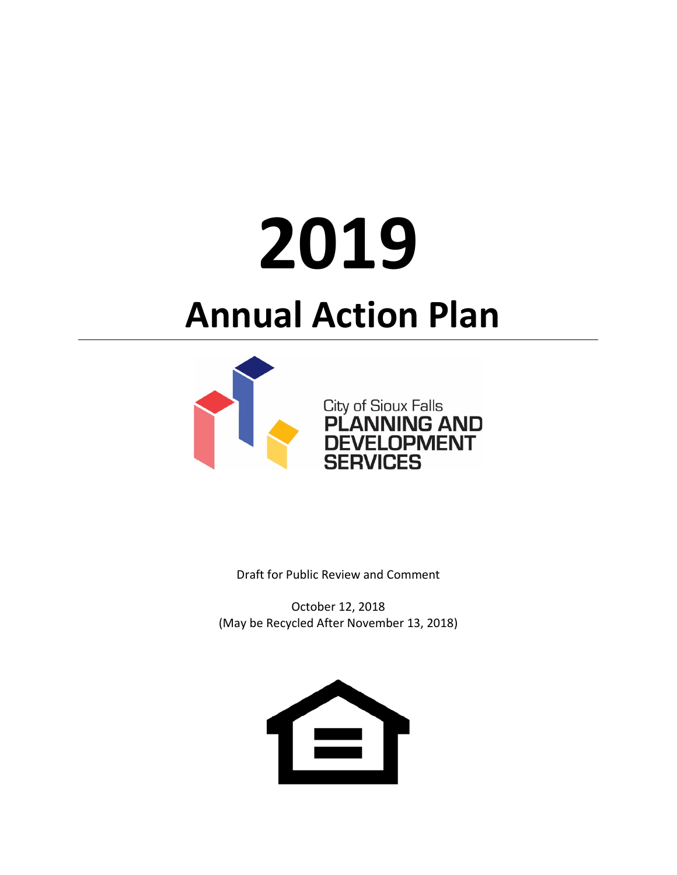# **2019**

# **Annual Action Plan**



Draft for Public Review and Comment

October 12, 2018 (May be Recycled After November 13, 2018)

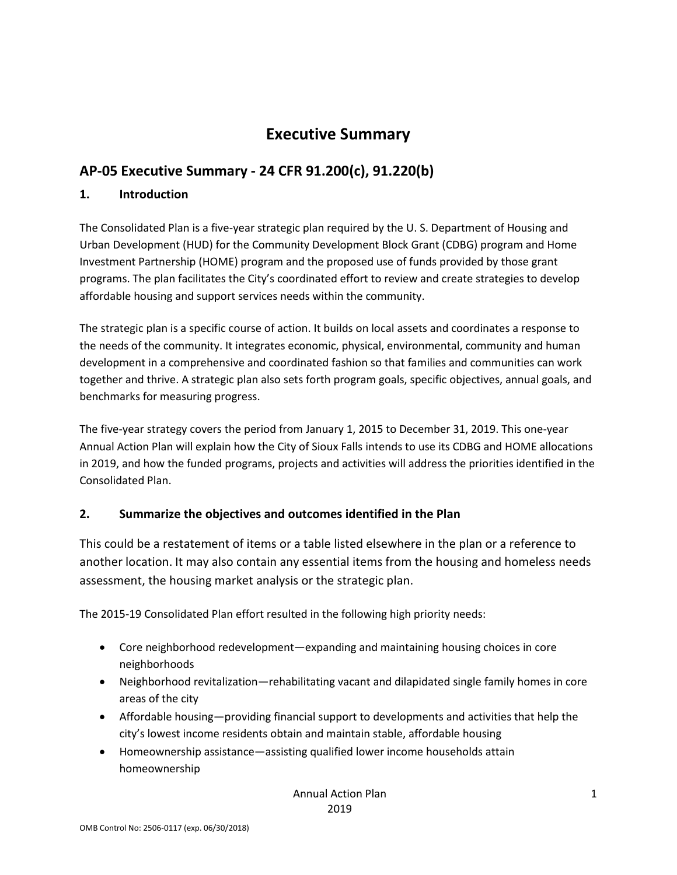# **Executive Summary**

# **AP-05 Executive Summary - 24 CFR 91.200(c), 91.220(b)**

#### **1. Introduction**

The Consolidated Plan is a five-year strategic plan required by the U. S. Department of Housing and Urban Development (HUD) for the Community Development Block Grant (CDBG) program and Home Investment Partnership (HOME) program and the proposed use of funds provided by those grant programs. The plan facilitates the City's coordinated effort to review and create strategies to develop affordable housing and support services needs within the community.

The strategic plan is a specific course of action. It builds on local assets and coordinates a response to the needs of the community. It integrates economic, physical, environmental, community and human development in a comprehensive and coordinated fashion so that families and communities can work together and thrive. A strategic plan also sets forth program goals, specific objectives, annual goals, and benchmarks for measuring progress.

The five-year strategy covers the period from January 1, 2015 to December 31, 2019. This one-year Annual Action Plan will explain how the City of Sioux Falls intends to use its CDBG and HOME allocations in 2019, and how the funded programs, projects and activities will address the priorities identified in the Consolidated Plan.

#### **2. Summarize the objectives and outcomes identified in the Plan**

This could be a restatement of items or a table listed elsewhere in the plan or a reference to another location. It may also contain any essential items from the housing and homeless needs assessment, the housing market analysis or the strategic plan.

The 2015-19 Consolidated Plan effort resulted in the following high priority needs:

- Core neighborhood redevelopment—expanding and maintaining housing choices in core neighborhoods
- Neighborhood revitalization—rehabilitating vacant and dilapidated single family homes in core areas of the city
- Affordable housing—providing financial support to developments and activities that help the city's lowest income residents obtain and maintain stable, affordable housing
- Homeownership assistance—assisting qualified lower income households attain homeownership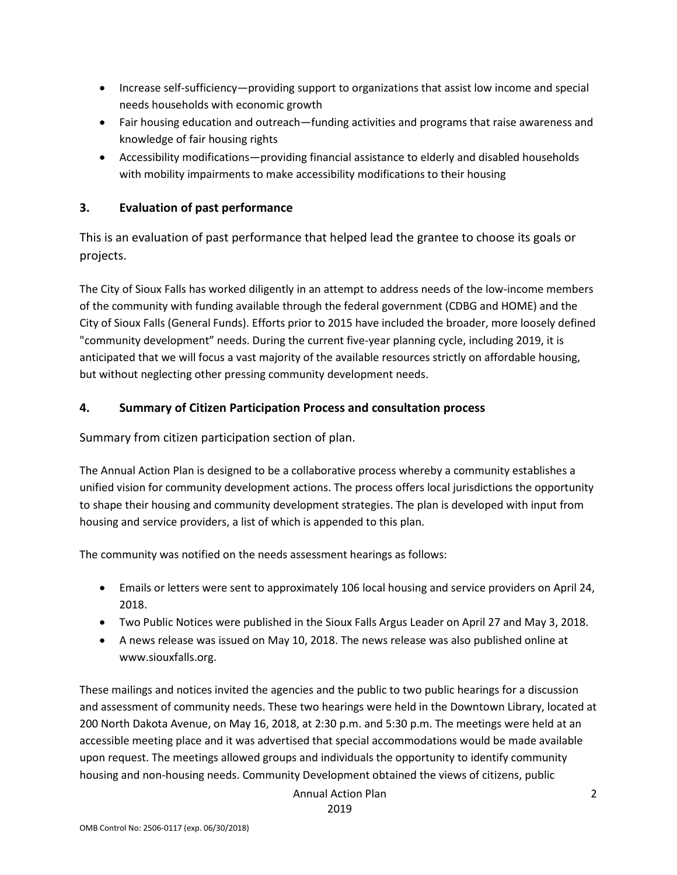- Increase self-sufficiency—providing support to organizations that assist low income and special needs households with economic growth
- Fair housing education and outreach—funding activities and programs that raise awareness and knowledge of fair housing rights
- Accessibility modifications—providing financial assistance to elderly and disabled households with mobility impairments to make accessibility modifications to their housing

#### **3. Evaluation of past performance**

This is an evaluation of past performance that helped lead the grantee to choose its goals or projects.

The City of Sioux Falls has worked diligently in an attempt to address needs of the low-income members of the community with funding available through the federal government (CDBG and HOME) and the City of Sioux Falls (General Funds). Efforts prior to 2015 have included the broader, more loosely defined "community development" needs. During the current five-year planning cycle, including 2019, it is anticipated that we will focus a vast majority of the available resources strictly on affordable housing, but without neglecting other pressing community development needs.

#### **4. Summary of Citizen Participation Process and consultation process**

Summary from citizen participation section of plan.

The Annual Action Plan is designed to be a collaborative process whereby a community establishes a unified vision for community development actions. The process offers local jurisdictions the opportunity to shape their housing and community development strategies. The plan is developed with input from housing and service providers, a list of which is appended to this plan.

The community was notified on the needs assessment hearings as follows:

- Emails or letters were sent to approximately 106 local housing and service providers on April 24, 2018.
- Two Public Notices were published in the Sioux Falls Argus Leader on April 27 and May 3, 2018.
- A news release was issued on May 10, 2018. The news release was also published online at www.siouxfalls.org.

These mailings and notices invited the agencies and the public to two public hearings for a discussion and assessment of community needs. These two hearings were held in the Downtown Library, located at 200 North Dakota Avenue, on May 16, 2018, at 2:30 p.m. and 5:30 p.m. The meetings were held at an accessible meeting place and it was advertised that special accommodations would be made available upon request. The meetings allowed groups and individuals the opportunity to identify community housing and non-housing needs. Community Development obtained the views of citizens, public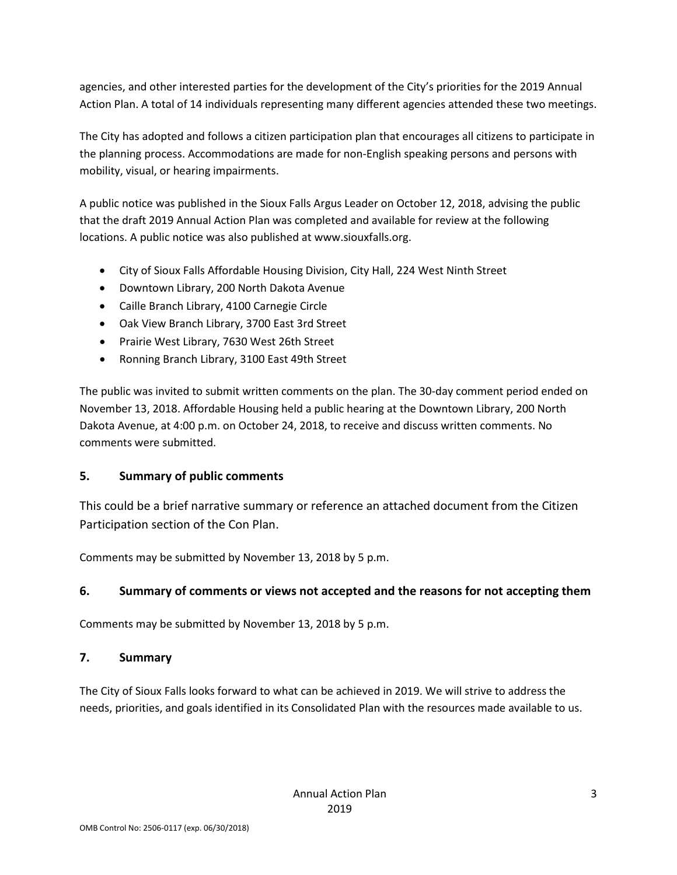agencies, and other interested parties for the development of the City's priorities for the 2019 Annual Action Plan. A total of 14 individuals representing many different agencies attended these two meetings.

The City has adopted and follows a citizen participation plan that encourages all citizens to participate in the planning process. Accommodations are made for non-English speaking persons and persons with mobility, visual, or hearing impairments.

A public notice was published in the Sioux Falls Argus Leader on October 12, 2018, advising the public that the draft 2019 Annual Action Plan was completed and available for review at the following locations. A public notice was also published at www.siouxfalls.org.

- City of Sioux Falls Affordable Housing Division, City Hall, 224 West Ninth Street
- Downtown Library, 200 North Dakota Avenue
- Caille Branch Library, 4100 Carnegie Circle
- Oak View Branch Library, 3700 East 3rd Street
- Prairie West Library, 7630 West 26th Street
- Ronning Branch Library, 3100 East 49th Street

The public was invited to submit written comments on the plan. The 30-day comment period ended on November 13, 2018. Affordable Housing held a public hearing at the Downtown Library, 200 North Dakota Avenue, at 4:00 p.m. on October 24, 2018, to receive and discuss written comments. No comments were submitted.

#### **5. Summary of public comments**

This could be a brief narrative summary or reference an attached document from the Citizen Participation section of the Con Plan.

Comments may be submitted by November 13, 2018 by 5 p.m.

#### **6. Summary of comments or views not accepted and the reasons for not accepting them**

Comments may be submitted by November 13, 2018 by 5 p.m.

#### **7. Summary**

The City of Sioux Falls looks forward to what can be achieved in 2019. We will strive to address the needs, priorities, and goals identified in its Consolidated Plan with the resources made available to us.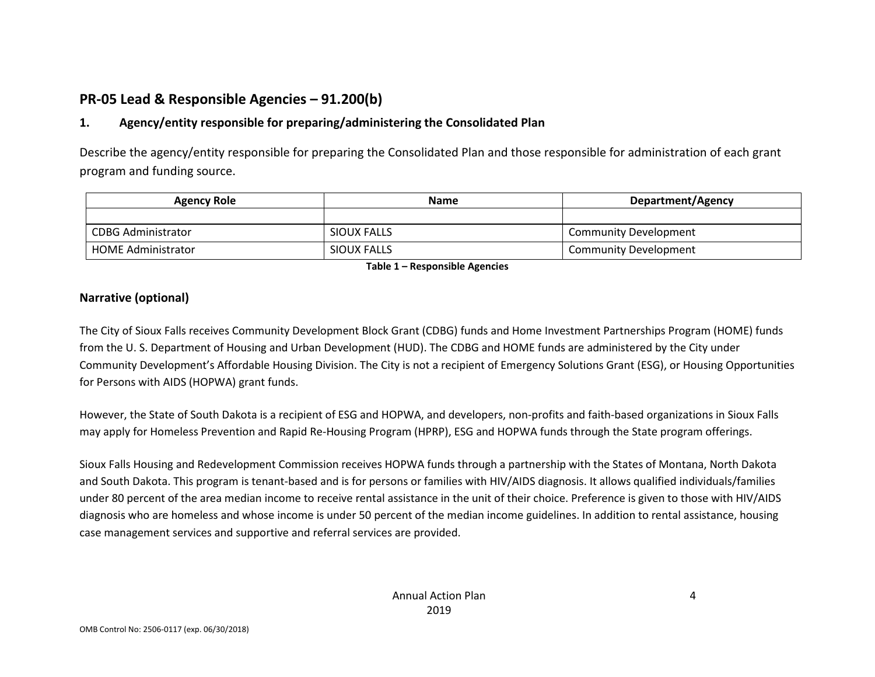# **PR-05 Lead & Responsible Agencies – 91.200(b)**

#### **1. Agency/entity responsible for preparing/administering the Consolidated Plan**

Describe the agency/entity responsible for preparing the Consolidated Plan and those responsible for administration of each grant program and funding source.

| <b>Agency Role</b>        | <b>Name</b> | <b>Department/Agency</b>     |  |
|---------------------------|-------------|------------------------------|--|
|                           |             |                              |  |
| <b>CDBG Administrator</b> | SIOUX FALLS | <b>Community Development</b> |  |
| <b>HOME Administrator</b> | SIOUX FALLS | <b>Community Development</b> |  |

**Table 1 – Responsible Agencies**

#### **Narrative (optional)**

The City of Sioux Falls receives Community Development Block Grant (CDBG) funds and Home Investment Partnerships Program (HOME) funds from the U. S. Department of Housing and Urban Development (HUD). The CDBG and HOME funds are administered by the City under Community Development's Affordable Housing Division. The City is not a recipient of Emergency Solutions Grant (ESG), or Housing Opportunities for Persons with AIDS (HOPWA) grant funds.

However, the State of South Dakota is a recipient of ESG and HOPWA, and developers, non-profits and faith-based organizations in Sioux Falls may apply for Homeless Prevention and Rapid Re-Housing Program (HPRP), ESG and HOPWA funds through the State program offerings.

Sioux Falls Housing and Redevelopment Commission receives HOPWA funds through a partnership with the States of Montana, North Dakota and South Dakota. This program is tenant-based and is for persons or families with HIV/AIDS diagnosis. It allows qualified individuals/families under 80 percent of the area median income to receive rental assistance in the unit of their choice. Preference is given to those with HIV/AIDS diagnosis who are homeless and whose income is under 50 percent of the median income guidelines. In addition to rental assistance, housing case management services and supportive and referral services are provided.

4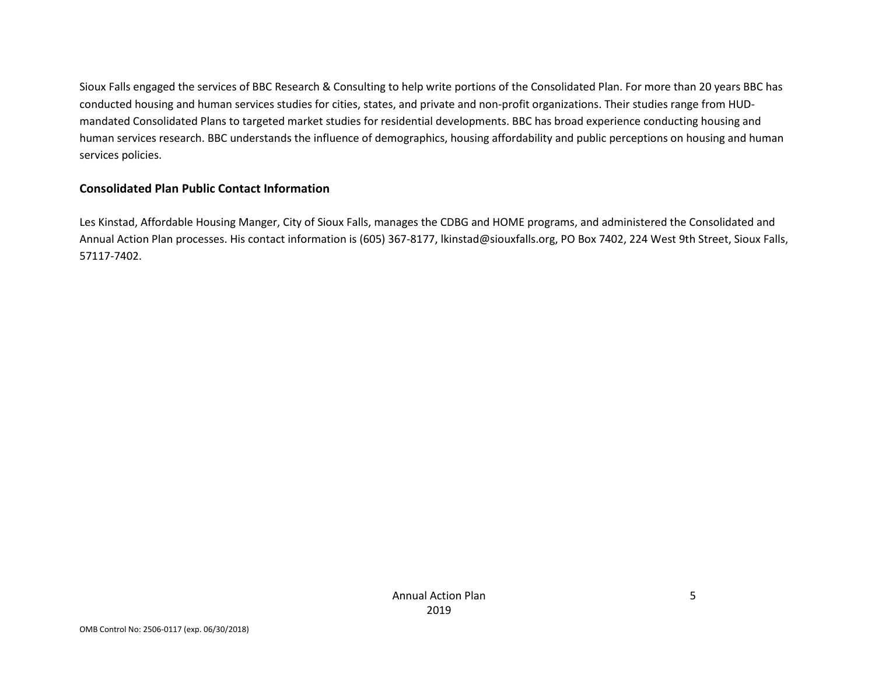Sioux Falls engaged the services of BBC Research & Consulting to help write portions of the Consolidated Plan. For more than 20 years BBC has conducted housing and human services studies for cities, states, and private and non-profit organizations. Their studies range from HUDmandated Consolidated Plans to targeted market studies for residential developments. BBC has broad experience conducting housing and human services research. BBC understands the influence of demographics, housing affordability and public perceptions on housing and human services policies.

#### **Consolidated Plan Public Contact Information**

Les Kinstad, Affordable Housing Manger, City of Sioux Falls, manages the CDBG and HOME programs, and administered the Consolidated and Annual Action Plan processes. His contact information is (605) 367-8177, lkinstad@siouxfalls.org, PO Box 7402, 224 West 9th Street, Sioux Falls, 57117-7402.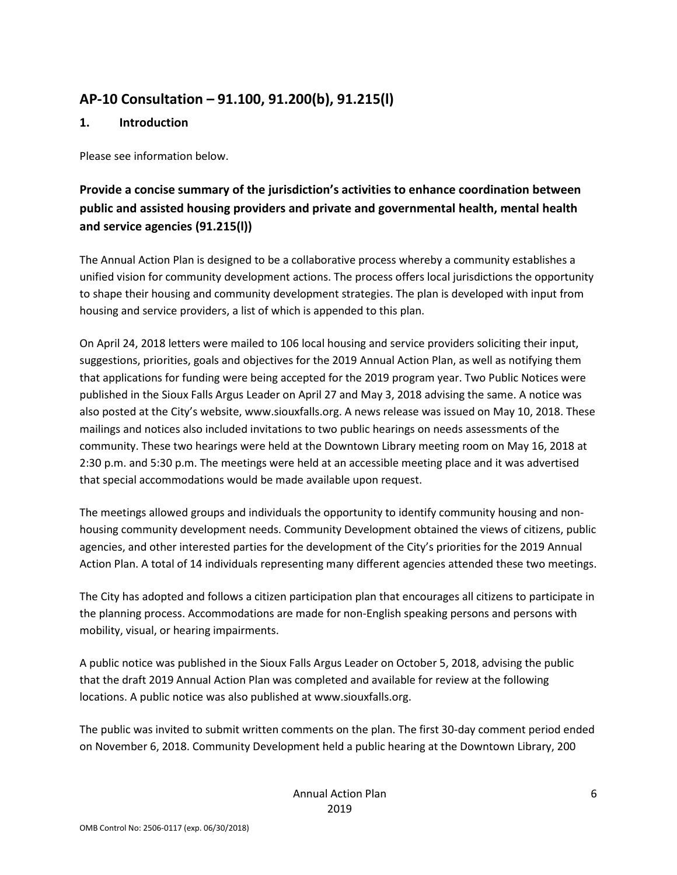# **AP-10 Consultation – 91.100, 91.200(b), 91.215(l)**

#### **1. Introduction**

Please see information below.

# **Provide a concise summary of the jurisdiction's activities to enhance coordination between public and assisted housing providers and private and governmental health, mental health and service agencies (91.215(l))**

The Annual Action Plan is designed to be a collaborative process whereby a community establishes a unified vision for community development actions. The process offers local jurisdictions the opportunity to shape their housing and community development strategies. The plan is developed with input from housing and service providers, a list of which is appended to this plan.

On April 24, 2018 letters were mailed to 106 local housing and service providers soliciting their input, suggestions, priorities, goals and objectives for the 2019 Annual Action Plan, as well as notifying them that applications for funding were being accepted for the 2019 program year. Two Public Notices were published in the Sioux Falls Argus Leader on April 27 and May 3, 2018 advising the same. A notice was also posted at the City's website, www.siouxfalls.org. A news release was issued on May 10, 2018. These mailings and notices also included invitations to two public hearings on needs assessments of the community. These two hearings were held at the Downtown Library meeting room on May 16, 2018 at 2:30 p.m. and 5:30 p.m. The meetings were held at an accessible meeting place and it was advertised that special accommodations would be made available upon request.

The meetings allowed groups and individuals the opportunity to identify community housing and nonhousing community development needs. Community Development obtained the views of citizens, public agencies, and other interested parties for the development of the City's priorities for the 2019 Annual Action Plan. A total of 14 individuals representing many different agencies attended these two meetings.

The City has adopted and follows a citizen participation plan that encourages all citizens to participate in the planning process. Accommodations are made for non-English speaking persons and persons with mobility, visual, or hearing impairments.

A public notice was published in the Sioux Falls Argus Leader on October 5, 2018, advising the public that the draft 2019 Annual Action Plan was completed and available for review at the following locations. A public notice was also published at www.siouxfalls.org.

The public was invited to submit written comments on the plan. The first 30-day comment period ended on November 6, 2018. Community Development held a public hearing at the Downtown Library, 200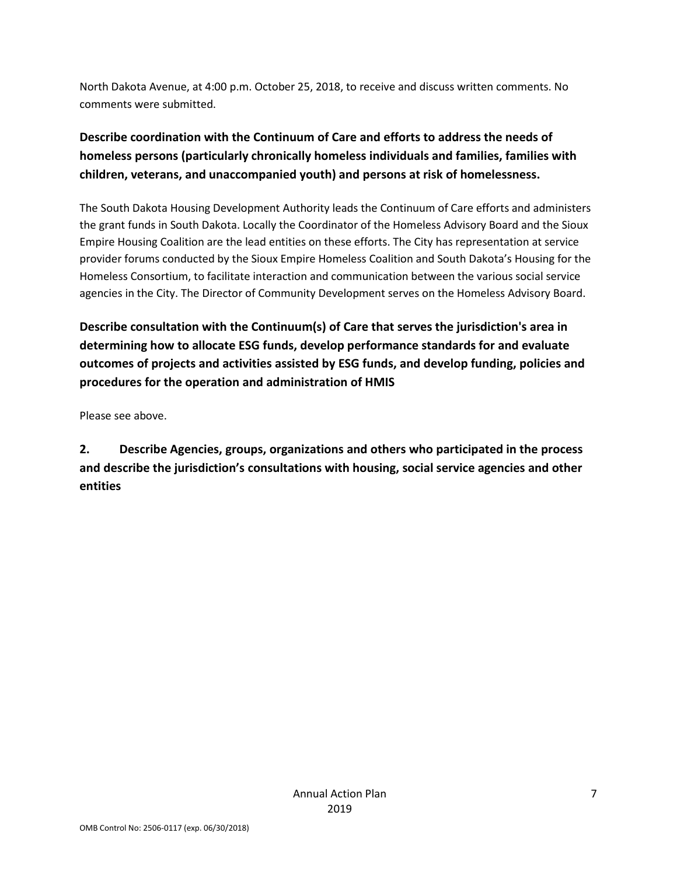North Dakota Avenue, at 4:00 p.m. October 25, 2018, to receive and discuss written comments. No comments were submitted.

# **Describe coordination with the Continuum of Care and efforts to address the needs of homeless persons (particularly chronically homeless individuals and families, families with children, veterans, and unaccompanied youth) and persons at risk of homelessness.**

The South Dakota Housing Development Authority leads the Continuum of Care efforts and administers the grant funds in South Dakota. Locally the Coordinator of the Homeless Advisory Board and the Sioux Empire Housing Coalition are the lead entities on these efforts. The City has representation at service provider forums conducted by the Sioux Empire Homeless Coalition and South Dakota's Housing for the Homeless Consortium, to facilitate interaction and communication between the various social service agencies in the City. The Director of Community Development serves on the Homeless Advisory Board.

**Describe consultation with the Continuum(s) of Care that serves the jurisdiction's area in determining how to allocate ESG funds, develop performance standards for and evaluate outcomes of projects and activities assisted by ESG funds, and develop funding, policies and procedures for the operation and administration of HMIS**

Please see above.

**2. Describe Agencies, groups, organizations and others who participated in the process and describe the jurisdiction's consultations with housing, social service agencies and other entities**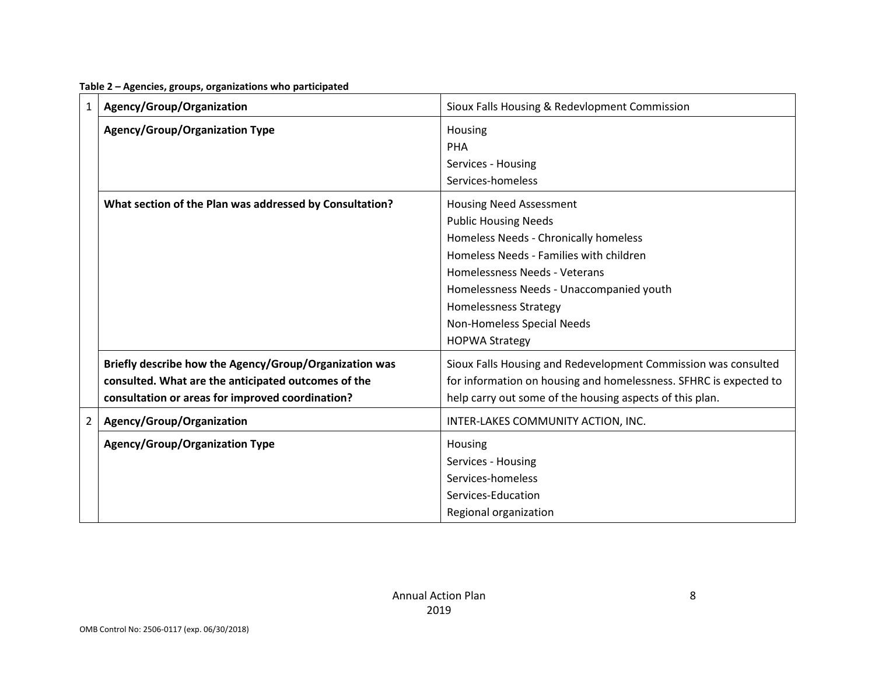| $\mathbf{1}$   | Agency/Group/Organization                                                                                                                                         | Sioux Falls Housing & Redevlopment Commission                                                                                                                                                                                                                                                                         |
|----------------|-------------------------------------------------------------------------------------------------------------------------------------------------------------------|-----------------------------------------------------------------------------------------------------------------------------------------------------------------------------------------------------------------------------------------------------------------------------------------------------------------------|
|                | <b>Agency/Group/Organization Type</b>                                                                                                                             | Housing<br><b>PHA</b><br>Services - Housing<br>Services-homeless                                                                                                                                                                                                                                                      |
|                | What section of the Plan was addressed by Consultation?                                                                                                           | <b>Housing Need Assessment</b><br><b>Public Housing Needs</b><br>Homeless Needs - Chronically homeless<br>Homeless Needs - Families with children<br>Homelessness Needs - Veterans<br>Homelessness Needs - Unaccompanied youth<br><b>Homelessness Strategy</b><br>Non-Homeless Special Needs<br><b>HOPWA Strategy</b> |
|                | Briefly describe how the Agency/Group/Organization was<br>consulted. What are the anticipated outcomes of the<br>consultation or areas for improved coordination? | Sioux Falls Housing and Redevelopment Commission was consulted<br>for information on housing and homelessness. SFHRC is expected to<br>help carry out some of the housing aspects of this plan.                                                                                                                       |
| $\overline{2}$ | Agency/Group/Organization                                                                                                                                         | INTER-LAKES COMMUNITY ACTION, INC.                                                                                                                                                                                                                                                                                    |
|                | <b>Agency/Group/Organization Type</b>                                                                                                                             | Housing<br>Services - Housing<br>Services-homeless<br>Services-Education<br>Regional organization                                                                                                                                                                                                                     |

**Table 2 – Agencies, groups, organizations who participated**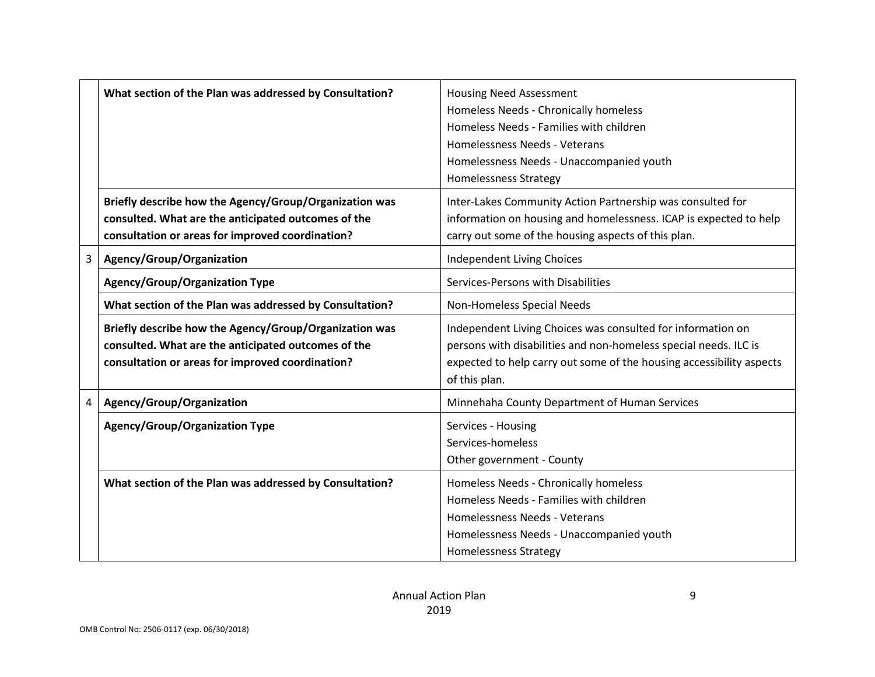|   | What section of the Plan was addressed by Consultation?                                                                                                           | <b>Housing Need Assessment</b><br>Homeless Needs - Chronically homeless<br>Homeless Needs - Families with children<br>Homelessness Needs - Veterans<br>Homelessness Needs - Unaccompanied youth<br><b>Homelessness Strategy</b> |
|---|-------------------------------------------------------------------------------------------------------------------------------------------------------------------|---------------------------------------------------------------------------------------------------------------------------------------------------------------------------------------------------------------------------------|
|   | Briefly describe how the Agency/Group/Organization was<br>consulted. What are the anticipated outcomes of the<br>consultation or areas for improved coordination? | Inter-Lakes Community Action Partnership was consulted for<br>information on housing and homelessness. ICAP is expected to help<br>carry out some of the housing aspects of this plan.                                          |
| 3 | Agency/Group/Organization                                                                                                                                         | <b>Independent Living Choices</b>                                                                                                                                                                                               |
|   | <b>Agency/Group/Organization Type</b>                                                                                                                             | Services-Persons with Disabilities                                                                                                                                                                                              |
|   | What section of the Plan was addressed by Consultation?                                                                                                           | Non-Homeless Special Needs                                                                                                                                                                                                      |
|   | Briefly describe how the Agency/Group/Organization was<br>consulted. What are the anticipated outcomes of the<br>consultation or areas for improved coordination? | Independent Living Choices was consulted for information on<br>persons with disabilities and non-homeless special needs. ILC is<br>expected to help carry out some of the housing accessibility aspects<br>of this plan.        |
| 4 | Agency/Group/Organization                                                                                                                                         | Minnehaha County Department of Human Services                                                                                                                                                                                   |
|   | Agency/Group/Organization Type                                                                                                                                    | Services - Housing<br>Services-homeless<br>Other government - County                                                                                                                                                            |
|   | What section of the Plan was addressed by Consultation?                                                                                                           | Homeless Needs - Chronically homeless<br>Homeless Needs - Families with children<br>Homelessness Needs - Veterans<br>Homelessness Needs - Unaccompanied youth<br><b>Homelessness Strategy</b>                                   |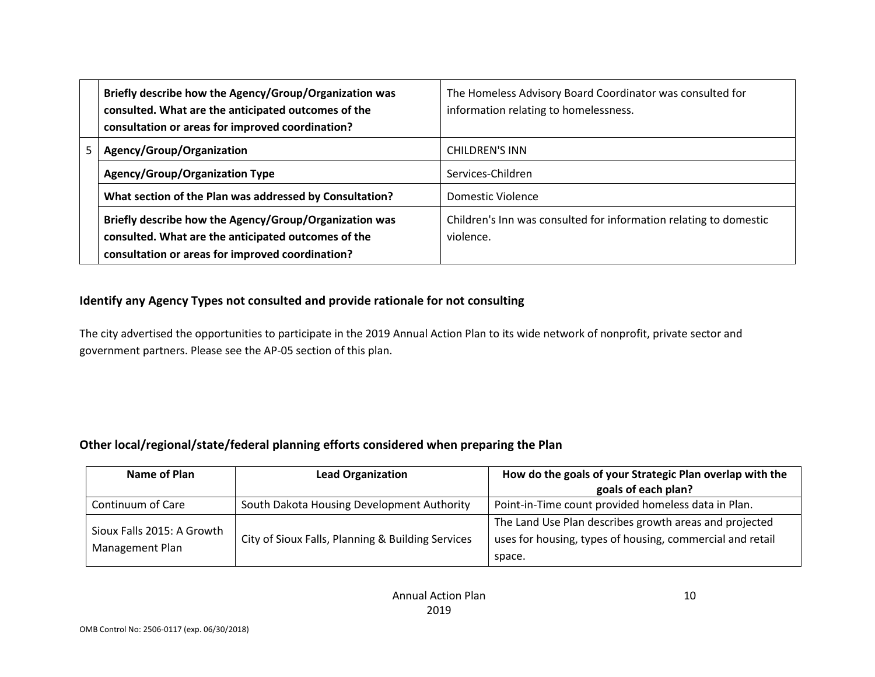|    | Briefly describe how the Agency/Group/Organization was<br>consulted. What are the anticipated outcomes of the<br>consultation or areas for improved coordination? | The Homeless Advisory Board Coordinator was consulted for<br>information relating to homelessness. |
|----|-------------------------------------------------------------------------------------------------------------------------------------------------------------------|----------------------------------------------------------------------------------------------------|
| 5. | Agency/Group/Organization                                                                                                                                         | <b>CHILDREN'S INN</b>                                                                              |
|    | <b>Agency/Group/Organization Type</b>                                                                                                                             | Services-Children                                                                                  |
|    | What section of the Plan was addressed by Consultation?                                                                                                           | Domestic Violence                                                                                  |
|    | Briefly describe how the Agency/Group/Organization was<br>consulted. What are the anticipated outcomes of the<br>consultation or areas for improved coordination? | Children's Inn was consulted for information relating to domestic<br>violence.                     |

#### **Identify any Agency Types not consulted and provide rationale for not consulting**

The city advertised the opportunities to participate in the 2019 Annual Action Plan to its wide network of nonprofit, private sector and government partners. Please see the AP-05 section of this plan.

#### **Other local/regional/state/federal planning efforts considered when preparing the Plan**

| Name of Plan                                  | <b>Lead Organization</b>                          | How do the goals of your Strategic Plan overlap with the  |
|-----------------------------------------------|---------------------------------------------------|-----------------------------------------------------------|
|                                               |                                                   | goals of each plan?                                       |
| Continuum of Care                             | South Dakota Housing Development Authority        | Point-in-Time count provided homeless data in Plan.       |
| Sioux Falls 2015: A Growth<br>Management Plan |                                                   | The Land Use Plan describes growth areas and projected    |
|                                               | City of Sioux Falls, Planning & Building Services | uses for housing, types of housing, commercial and retail |
|                                               |                                                   | space.                                                    |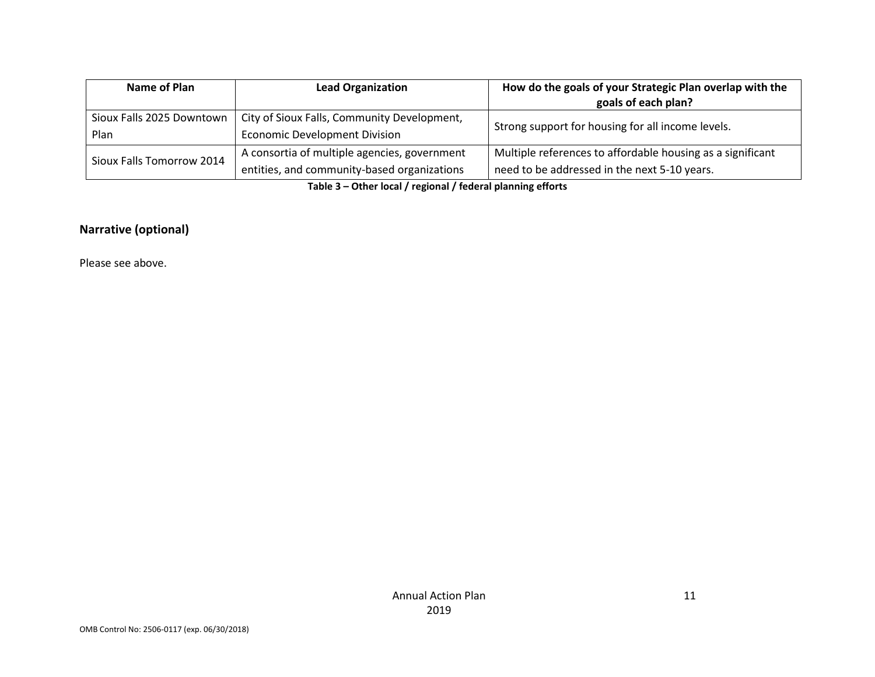| Name of Plan<br><b>Lead Organization</b>                                 |                                              | How do the goals of your Strategic Plan overlap with the   |  |
|--------------------------------------------------------------------------|----------------------------------------------|------------------------------------------------------------|--|
|                                                                          |                                              | goals of each plan?                                        |  |
| City of Sioux Falls, Community Development,<br>Sioux Falls 2025 Downtown |                                              | Strong support for housing for all income levels.          |  |
| Plan                                                                     | <b>Economic Development Division</b>         |                                                            |  |
| Sioux Falls Tomorrow 2014                                                | A consortia of multiple agencies, government | Multiple references to affordable housing as a significant |  |
|                                                                          | entities, and community-based organizations  | need to be addressed in the next 5-10 years.               |  |

**Table 3 – Other local / regional / federal planning efforts**

#### **Narrative (optional)**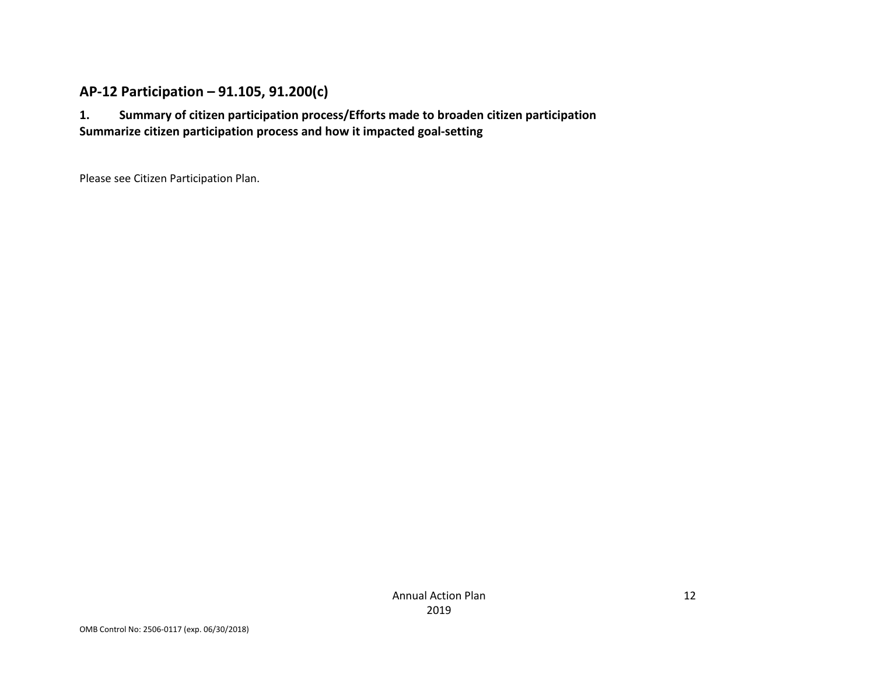#### **AP-12 Participation – 91.105, 91.200(c)**

**1. Summary of citizen participation process/Efforts made to broaden citizen participation Summarize citizen participation process and how it impacted goal-setting**

Please see Citizen Participation Plan.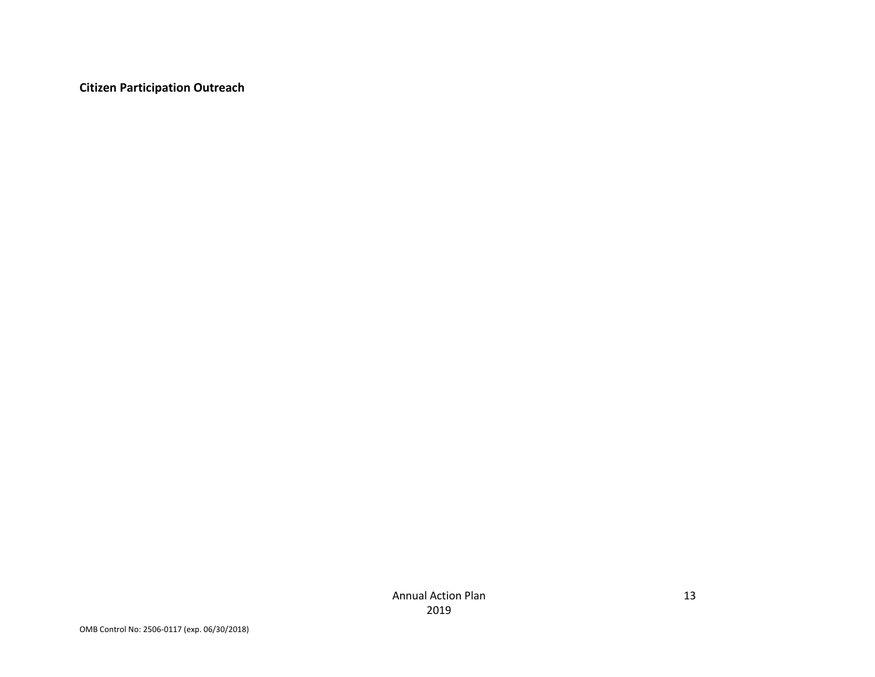**Citizen Participation Outreach**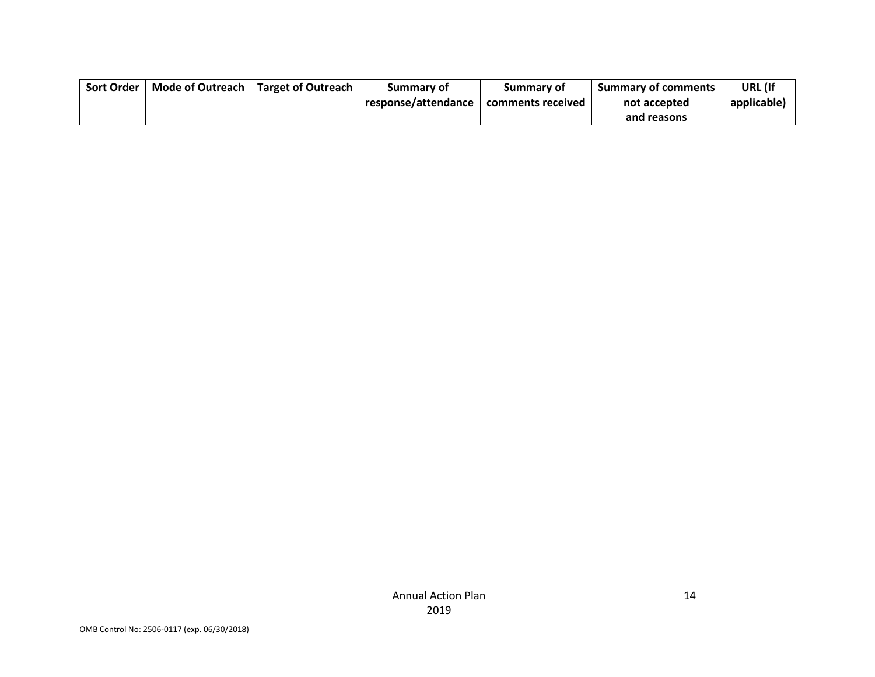| Sort Order | Mode of Outreach I | <b>Target of Outreach</b> | Summary of          | Summary of        | <b>Summary of comments</b> | URL (If     |
|------------|--------------------|---------------------------|---------------------|-------------------|----------------------------|-------------|
|            |                    |                           | response/attendance | comments received | not accepted               | applicable) |
|            |                    |                           |                     |                   | and reasons                |             |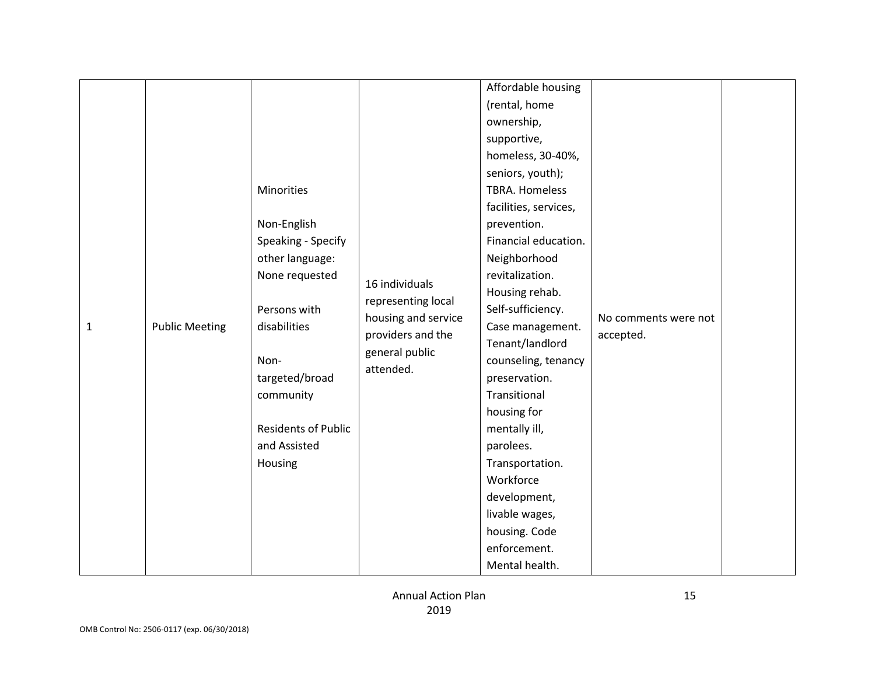| $\mathbf{1}$ | <b>Public Meeting</b> | Minorities<br>Non-English<br>Speaking - Specify<br>other language:<br>None requested<br>Persons with<br>disabilities<br>Non-<br>targeted/broad<br>community<br><b>Residents of Public</b><br>and Assisted<br>Housing | 16 individuals<br>representing local<br>housing and service<br>providers and the<br>general public<br>attended. | Affordable housing<br>(rental, home<br>ownership,<br>supportive,<br>homeless, 30-40%,<br>seniors, youth);<br><b>TBRA. Homeless</b><br>facilities, services,<br>prevention.<br>Financial education.<br>Neighborhood<br>revitalization.<br>Housing rehab.<br>Self-sufficiency.<br>Case management.<br>Tenant/landlord<br>counseling, tenancy<br>preservation.<br>Transitional<br>housing for<br>mentally ill,<br>parolees.<br>Transportation.<br>Workforce<br>development,<br>livable wages,<br>housing. Code<br>enforcement.<br>Mental health. | No comments were not<br>accepted. |  |
|--------------|-----------------------|----------------------------------------------------------------------------------------------------------------------------------------------------------------------------------------------------------------------|-----------------------------------------------------------------------------------------------------------------|-----------------------------------------------------------------------------------------------------------------------------------------------------------------------------------------------------------------------------------------------------------------------------------------------------------------------------------------------------------------------------------------------------------------------------------------------------------------------------------------------------------------------------------------------|-----------------------------------|--|
|--------------|-----------------------|----------------------------------------------------------------------------------------------------------------------------------------------------------------------------------------------------------------------|-----------------------------------------------------------------------------------------------------------------|-----------------------------------------------------------------------------------------------------------------------------------------------------------------------------------------------------------------------------------------------------------------------------------------------------------------------------------------------------------------------------------------------------------------------------------------------------------------------------------------------------------------------------------------------|-----------------------------------|--|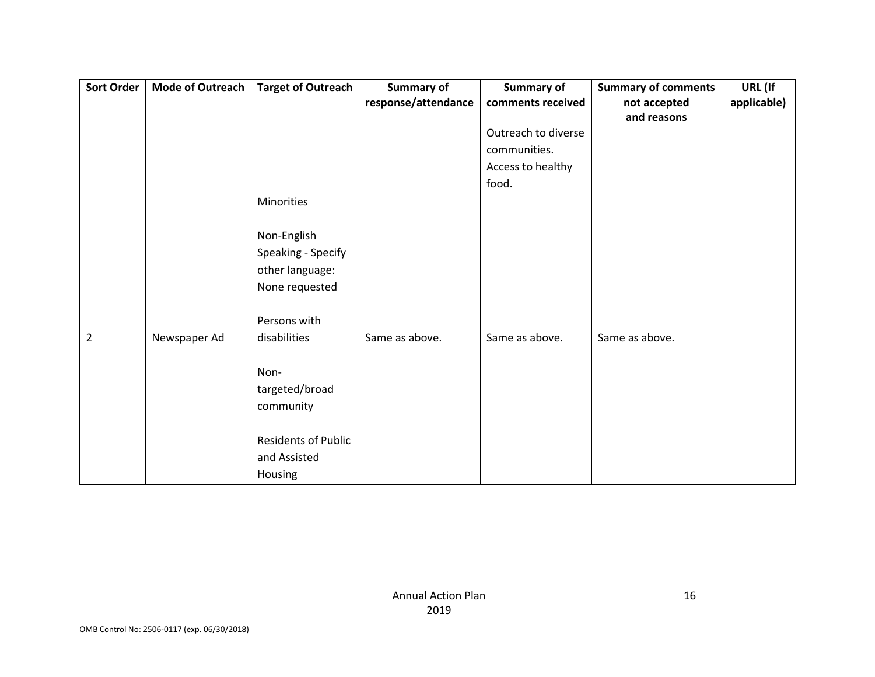| <b>Sort Order</b> | Mode of Outreach | <b>Target of Outreach</b>  | <b>Summary of</b>   | <b>Summary of</b>   | <b>Summary of comments</b> | URL (If     |
|-------------------|------------------|----------------------------|---------------------|---------------------|----------------------------|-------------|
|                   |                  |                            | response/attendance | comments received   | not accepted               | applicable) |
|                   |                  |                            |                     |                     | and reasons                |             |
|                   |                  |                            |                     | Outreach to diverse |                            |             |
|                   |                  |                            |                     | communities.        |                            |             |
|                   |                  |                            |                     | Access to healthy   |                            |             |
|                   |                  |                            |                     | food.               |                            |             |
|                   |                  | Minorities                 |                     |                     |                            |             |
|                   |                  |                            |                     |                     |                            |             |
|                   |                  | Non-English                |                     |                     |                            |             |
|                   |                  | Speaking - Specify         |                     |                     |                            |             |
|                   |                  | other language:            |                     |                     |                            |             |
|                   |                  | None requested             |                     |                     |                            |             |
|                   |                  | Persons with               |                     |                     |                            |             |
| $\overline{2}$    | Newspaper Ad     | disabilities               | Same as above.      | Same as above.      | Same as above.             |             |
|                   |                  | Non-                       |                     |                     |                            |             |
|                   |                  | targeted/broad             |                     |                     |                            |             |
|                   |                  | community                  |                     |                     |                            |             |
|                   |                  |                            |                     |                     |                            |             |
|                   |                  | <b>Residents of Public</b> |                     |                     |                            |             |
|                   |                  | and Assisted               |                     |                     |                            |             |
|                   |                  | Housing                    |                     |                     |                            |             |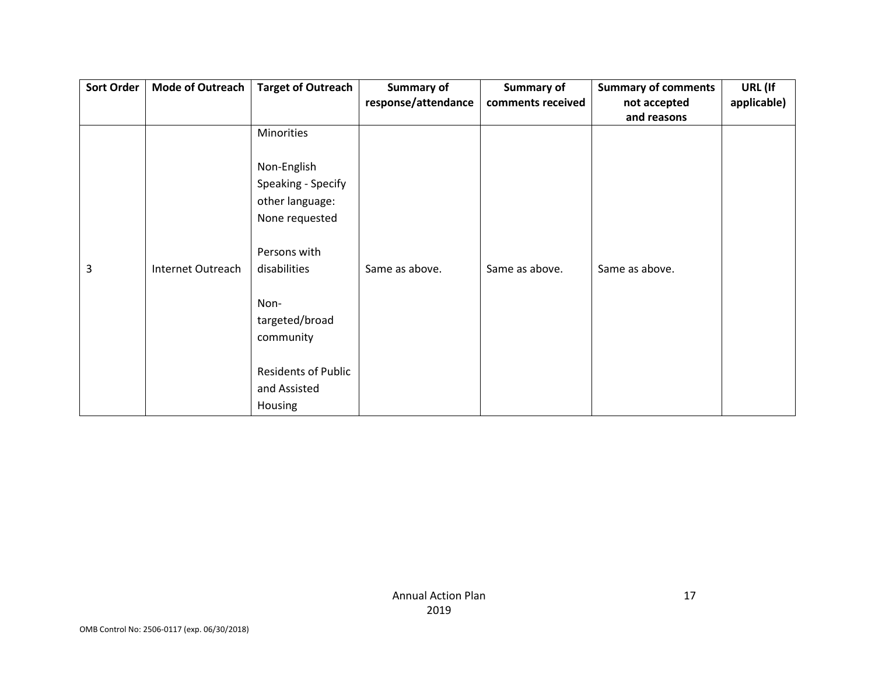| Sort Order | <b>Mode of Outreach</b> | <b>Target of Outreach</b>  | Summary of          | Summary of        | <b>Summary of comments</b> | URL (If     |
|------------|-------------------------|----------------------------|---------------------|-------------------|----------------------------|-------------|
|            |                         |                            | response/attendance | comments received | not accepted               | applicable) |
|            |                         |                            |                     |                   | and reasons                |             |
|            |                         | Minorities                 |                     |                   |                            |             |
|            |                         |                            |                     |                   |                            |             |
|            |                         | Non-English                |                     |                   |                            |             |
|            |                         | Speaking - Specify         |                     |                   |                            |             |
|            |                         | other language:            |                     |                   |                            |             |
|            |                         | None requested             |                     |                   |                            |             |
|            |                         |                            |                     |                   |                            |             |
|            |                         | Persons with               |                     |                   |                            |             |
| 3          | Internet Outreach       | disabilities               | Same as above.      | Same as above.    | Same as above.             |             |
|            |                         |                            |                     |                   |                            |             |
|            |                         | Non-                       |                     |                   |                            |             |
|            |                         | targeted/broad             |                     |                   |                            |             |
|            |                         | community                  |                     |                   |                            |             |
|            |                         |                            |                     |                   |                            |             |
|            |                         | <b>Residents of Public</b> |                     |                   |                            |             |
|            |                         | and Assisted               |                     |                   |                            |             |
|            |                         | Housing                    |                     |                   |                            |             |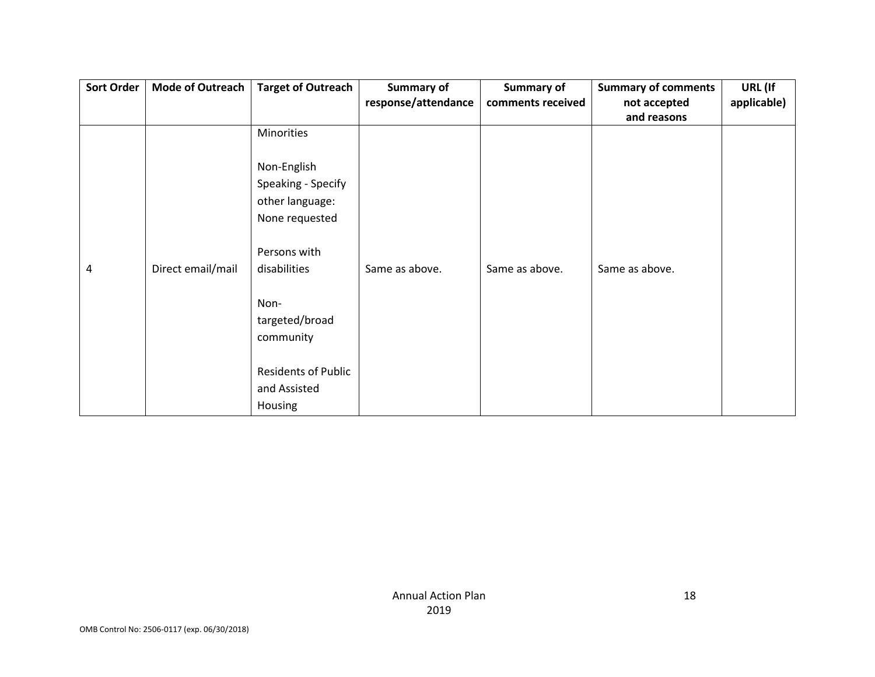| Sort Order | <b>Mode of Outreach</b> | <b>Target of Outreach</b>  | <b>Summary of</b>   | <b>Summary of</b> | <b>Summary of comments</b> | URL (If     |
|------------|-------------------------|----------------------------|---------------------|-------------------|----------------------------|-------------|
|            |                         |                            | response/attendance | comments received | not accepted               | applicable) |
|            |                         |                            |                     |                   | and reasons                |             |
|            |                         | Minorities                 |                     |                   |                            |             |
|            |                         |                            |                     |                   |                            |             |
|            |                         | Non-English                |                     |                   |                            |             |
|            |                         | Speaking - Specify         |                     |                   |                            |             |
|            |                         | other language:            |                     |                   |                            |             |
|            |                         | None requested             |                     |                   |                            |             |
|            |                         |                            |                     |                   |                            |             |
|            |                         | Persons with               |                     |                   |                            |             |
| 4          | Direct email/mail       | disabilities               | Same as above.      | Same as above.    | Same as above.             |             |
|            |                         |                            |                     |                   |                            |             |
|            |                         | Non-                       |                     |                   |                            |             |
|            |                         | targeted/broad             |                     |                   |                            |             |
|            |                         | community                  |                     |                   |                            |             |
|            |                         |                            |                     |                   |                            |             |
|            |                         | <b>Residents of Public</b> |                     |                   |                            |             |
|            |                         | and Assisted               |                     |                   |                            |             |
|            |                         | Housing                    |                     |                   |                            |             |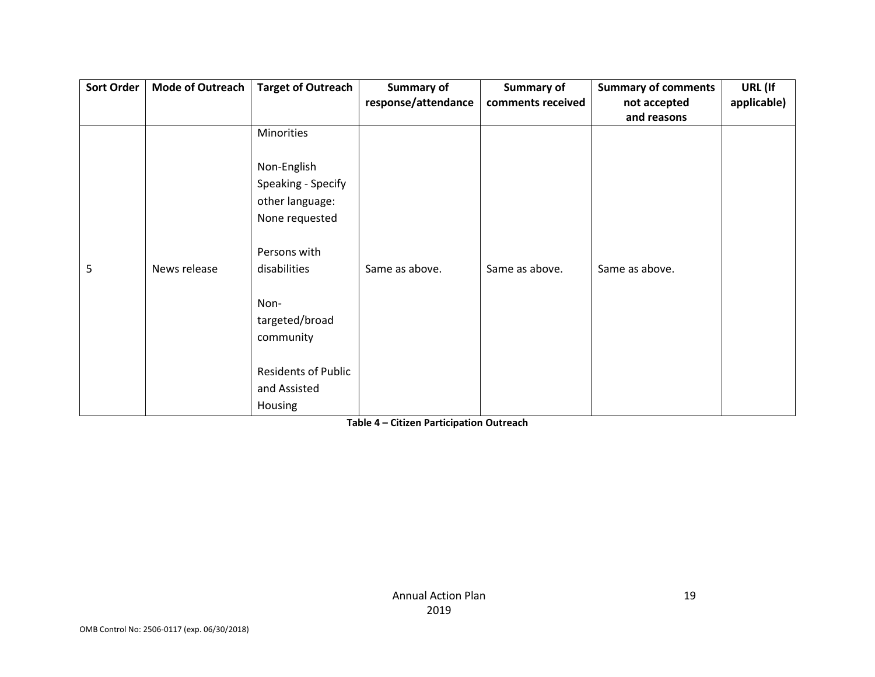| <b>Sort Order</b> | <b>Mode of Outreach</b> | <b>Target of Outreach</b>  | Summary of          | <b>Summary of</b> | <b>Summary of comments</b> | URL (If     |
|-------------------|-------------------------|----------------------------|---------------------|-------------------|----------------------------|-------------|
|                   |                         |                            | response/attendance | comments received | not accepted               | applicable) |
|                   |                         |                            |                     |                   | and reasons                |             |
|                   |                         | Minorities                 |                     |                   |                            |             |
|                   |                         |                            |                     |                   |                            |             |
|                   |                         | Non-English                |                     |                   |                            |             |
|                   |                         | Speaking - Specify         |                     |                   |                            |             |
|                   |                         | other language:            |                     |                   |                            |             |
|                   |                         | None requested             |                     |                   |                            |             |
|                   |                         |                            |                     |                   |                            |             |
|                   |                         | Persons with               |                     |                   |                            |             |
| 5                 | News release            | disabilities               | Same as above.      | Same as above.    | Same as above.             |             |
|                   |                         |                            |                     |                   |                            |             |
|                   |                         | Non-                       |                     |                   |                            |             |
|                   |                         | targeted/broad             |                     |                   |                            |             |
|                   |                         | community                  |                     |                   |                            |             |
|                   |                         |                            |                     |                   |                            |             |
|                   |                         | <b>Residents of Public</b> |                     |                   |                            |             |
|                   |                         | and Assisted               |                     |                   |                            |             |
|                   |                         | Housing                    |                     |                   |                            |             |

**Table 4 – Citizen Participation Outreach**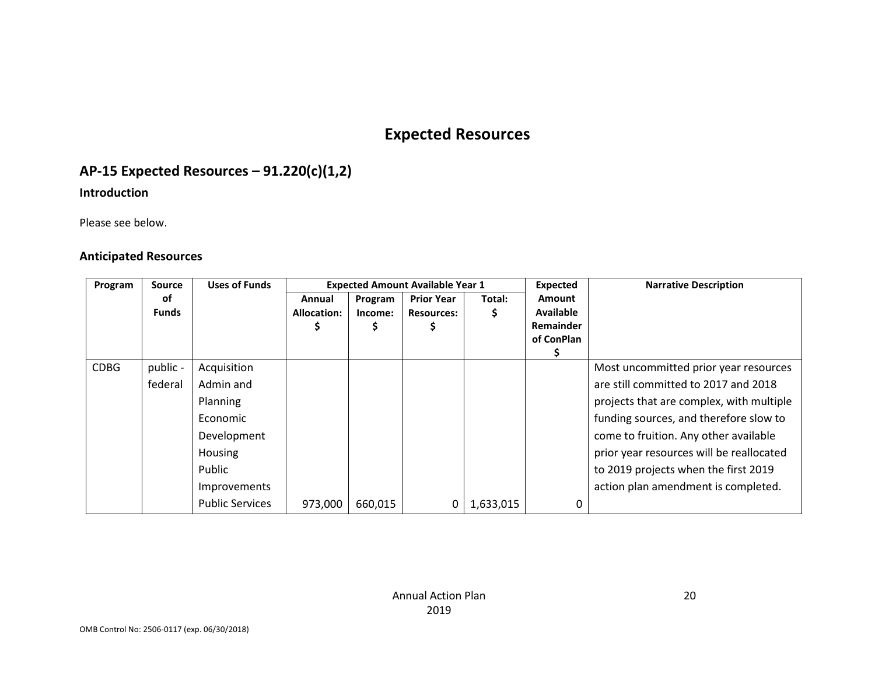# **Expected Resources**

# **AP-15 Expected Resources – 91.220(c)(1,2)**

#### **Introduction**

Please see below.

#### **Anticipated Resources**

| Program     | <b>Source</b> | <b>Uses of Funds</b>   | <b>Expected Amount Available Year 1</b> |         |                   |           | Expected                             | <b>Narrative Description</b>             |
|-------------|---------------|------------------------|-----------------------------------------|---------|-------------------|-----------|--------------------------------------|------------------------------------------|
|             | оf            |                        | Annual                                  | Program | <b>Prior Year</b> | Total:    | <b>Amount</b>                        |                                          |
|             | <b>Funds</b>  |                        | <b>Allocation:</b>                      | Income: | <b>Resources:</b> |           | <b>Available</b><br><b>Remainder</b> |                                          |
|             |               |                        |                                         | ⋗       |                   |           | of ConPlan                           |                                          |
|             |               |                        |                                         |         |                   |           |                                      |                                          |
| <b>CDBG</b> | public -      | Acquisition            |                                         |         |                   |           |                                      | Most uncommitted prior year resources    |
|             | federal       | Admin and              |                                         |         |                   |           |                                      | are still committed to 2017 and 2018     |
|             |               | <b>Planning</b>        |                                         |         |                   |           |                                      | projects that are complex, with multiple |
|             |               | Economic               |                                         |         |                   |           |                                      | funding sources, and therefore slow to   |
|             |               | Development            |                                         |         |                   |           |                                      | come to fruition. Any other available    |
|             |               | Housing                |                                         |         |                   |           |                                      | prior year resources will be reallocated |
|             |               | Public                 |                                         |         |                   |           |                                      | to 2019 projects when the first 2019     |
|             |               | Improvements           |                                         |         |                   |           |                                      | action plan amendment is completed.      |
|             |               | <b>Public Services</b> | 973,000                                 | 660,015 | 0                 | 1,633,015 | 0                                    |                                          |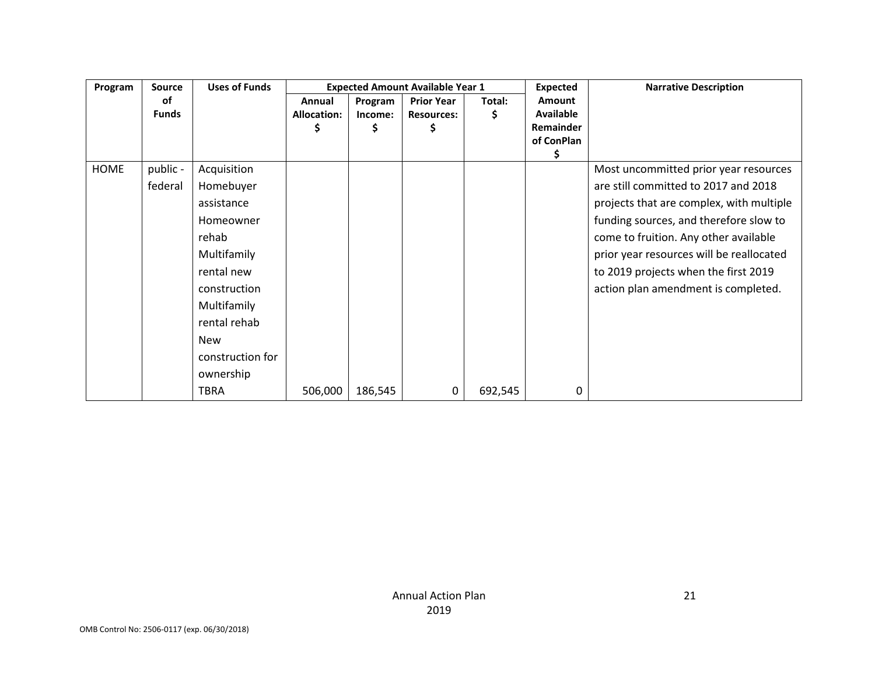| Program     | <b>Source</b> | <b>Uses of Funds</b> | <b>Expected Amount Available Year 1</b> |         | <b>Expected</b>   | <b>Narrative Description</b> |                  |                                          |
|-------------|---------------|----------------------|-----------------------------------------|---------|-------------------|------------------------------|------------------|------------------------------------------|
|             | οf            |                      | Annual                                  | Program | <b>Prior Year</b> | Total:                       | <b>Amount</b>    |                                          |
|             | <b>Funds</b>  |                      | <b>Allocation:</b>                      | Income: | <b>Resources:</b> | \$                           | <b>Available</b> |                                          |
|             |               |                      | Ş                                       | Ş       | Ş                 |                              | Remainder        |                                          |
|             |               |                      |                                         |         |                   |                              | of ConPlan       |                                          |
|             |               |                      |                                         |         |                   |                              | Ş                |                                          |
| <b>HOME</b> | public -      | Acquisition          |                                         |         |                   |                              |                  | Most uncommitted prior year resources    |
|             | federal       | Homebuyer            |                                         |         |                   |                              |                  | are still committed to 2017 and 2018     |
|             |               | assistance           |                                         |         |                   |                              |                  | projects that are complex, with multiple |
|             |               | Homeowner            |                                         |         |                   |                              |                  | funding sources, and therefore slow to   |
|             |               | rehab                |                                         |         |                   |                              |                  | come to fruition. Any other available    |
|             |               | Multifamily          |                                         |         |                   |                              |                  | prior year resources will be reallocated |
|             |               | rental new           |                                         |         |                   |                              |                  | to 2019 projects when the first 2019     |
|             |               | construction         |                                         |         |                   |                              |                  | action plan amendment is completed.      |
|             |               | Multifamily          |                                         |         |                   |                              |                  |                                          |
|             |               | rental rehab         |                                         |         |                   |                              |                  |                                          |
|             |               | <b>New</b>           |                                         |         |                   |                              |                  |                                          |
|             |               | construction for     |                                         |         |                   |                              |                  |                                          |
|             |               | ownership            |                                         |         |                   |                              |                  |                                          |
|             |               | TBRA                 | 506,000                                 | 186,545 | 0                 | 692,545                      | 0                |                                          |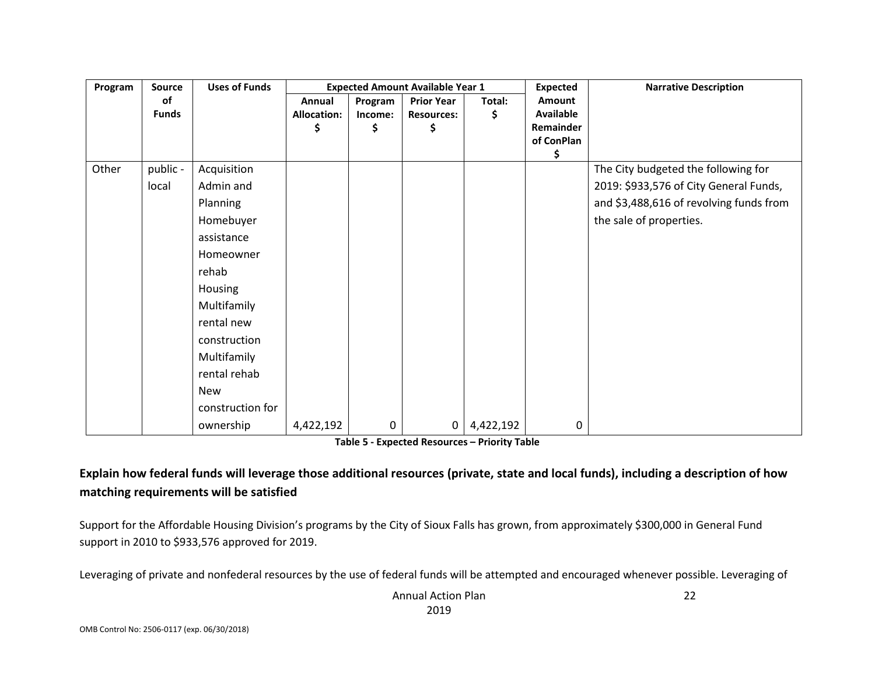| Program | <b>Source</b> | <b>Uses of Funds</b> | <b>Expected Amount Available Year 1</b> |         |                   |           | <b>Expected</b>               | <b>Narrative Description</b>            |
|---------|---------------|----------------------|-----------------------------------------|---------|-------------------|-----------|-------------------------------|-----------------------------------------|
|         | of            |                      | Annual                                  | Program | <b>Prior Year</b> | Total:    | Amount                        |                                         |
|         | <b>Funds</b>  |                      | <b>Allocation:</b>                      | Income: | <b>Resources:</b> | \$        | Available<br><b>Remainder</b> |                                         |
|         |               |                      | \$                                      | \$      | \$                |           | of ConPlan                    |                                         |
|         |               |                      |                                         |         |                   |           | \$                            |                                         |
| Other   | public -      | Acquisition          |                                         |         |                   |           |                               | The City budgeted the following for     |
|         | local         | Admin and            |                                         |         |                   |           |                               | 2019: \$933,576 of City General Funds,  |
|         |               | Planning             |                                         |         |                   |           |                               | and \$3,488,616 of revolving funds from |
|         |               | Homebuyer            |                                         |         |                   |           |                               | the sale of properties.                 |
|         |               | assistance           |                                         |         |                   |           |                               |                                         |
|         |               | Homeowner            |                                         |         |                   |           |                               |                                         |
|         |               | rehab                |                                         |         |                   |           |                               |                                         |
|         |               | Housing              |                                         |         |                   |           |                               |                                         |
|         |               | Multifamily          |                                         |         |                   |           |                               |                                         |
|         |               | rental new           |                                         |         |                   |           |                               |                                         |
|         |               | construction         |                                         |         |                   |           |                               |                                         |
|         |               | Multifamily          |                                         |         |                   |           |                               |                                         |
|         |               | rental rehab         |                                         |         |                   |           |                               |                                         |
|         |               | <b>New</b>           |                                         |         |                   |           |                               |                                         |
|         |               | construction for     |                                         |         |                   |           |                               |                                         |
|         |               | ownership            | 4,422,192                               | 0       | $\overline{0}$    | 4,422,192 | 0                             |                                         |

**Table 5 - Expected Resources – Priority Table**

# **Explain how federal funds will leverage those additional resources (private, state and local funds), including a description of how matching requirements will be satisfied**

Support for the Affordable Housing Division's programs by the City of Sioux Falls has grown, from approximately \$300,000 in General Fund support in 2010 to \$933,576 approved for 2019.

Leveraging of private and nonfederal resources by the use of federal funds will be attempted and encouraged whenever possible. Leveraging of

Annual Action Plan 2019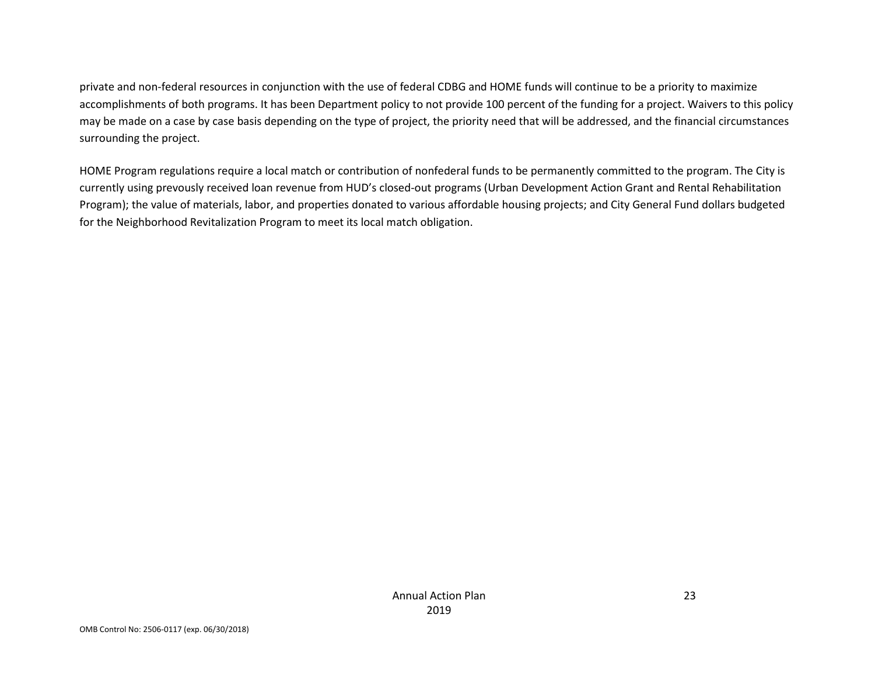private and non-federal resources in conjunction with the use of federal CDBG and HOME funds will continue to be a priority to maximize accomplishments of both programs. It has been Department policy to not provide 100 percent of the funding for a project. Waivers to this policy may be made on a case by case basis depending on the type of project, the priority need that will be addressed, and the financial circumstances surrounding the project.

HOME Program regulations require a local match or contribution of nonfederal funds to be permanently committed to the program. The City is currently using prevously received loan revenue from HUD's closed-out programs (Urban Development Action Grant and Rental Rehabilitation Program); the value of materials, labor, and properties donated to various affordable housing projects; and City General Fund dollars budgeted for the Neighborhood Revitalization Program to meet its local match obligation.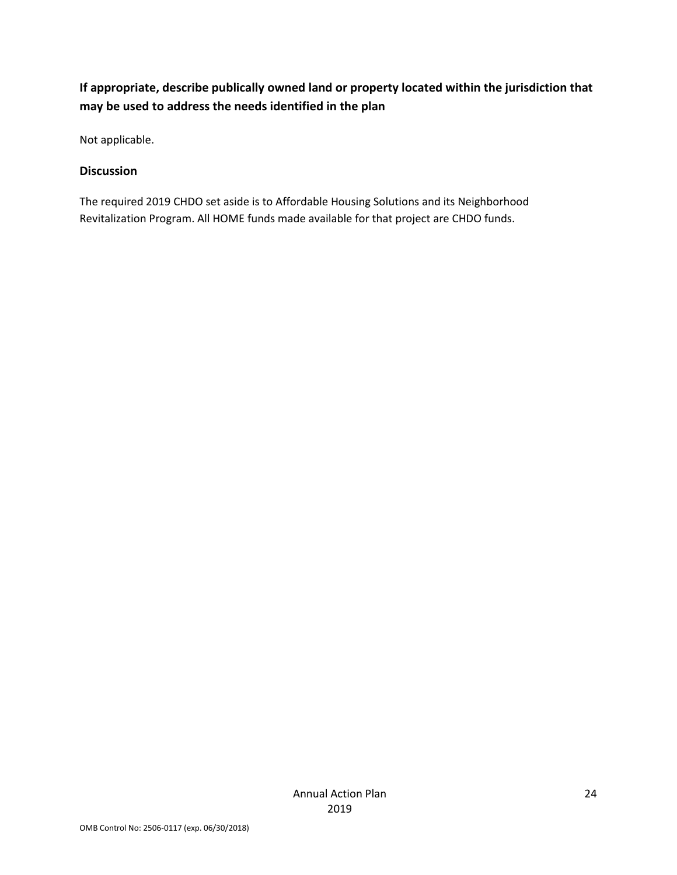# **If appropriate, describe publically owned land or property located within the jurisdiction that may be used to address the needs identified in the plan**

Not applicable.

#### **Discussion**

The required 2019 CHDO set aside is to Affordable Housing Solutions and its Neighborhood Revitalization Program. All HOME funds made available for that project are CHDO funds.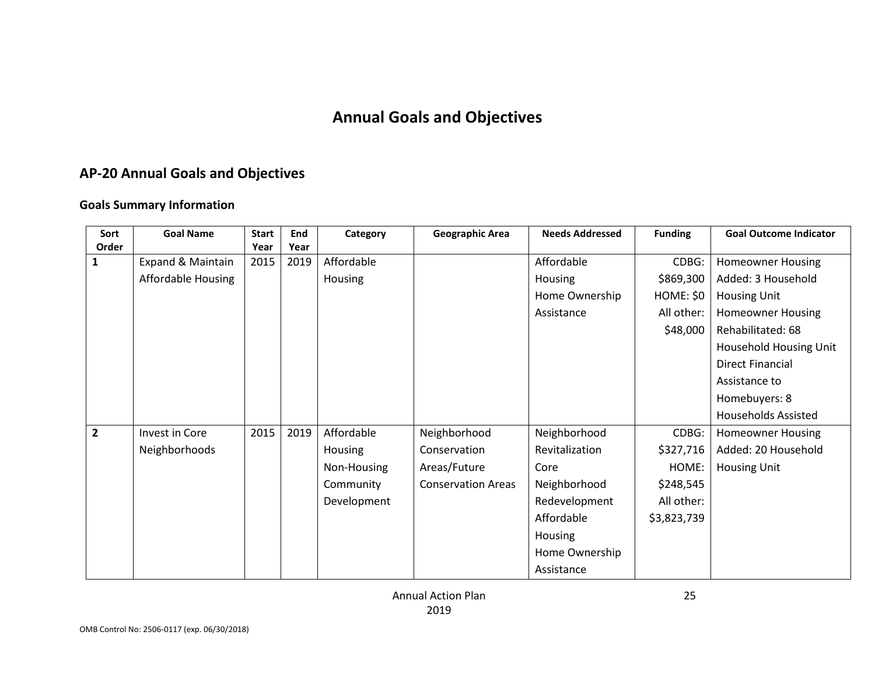# **Annual Goals and Objectives**

# **AP-20 Annual Goals and Objectives**

#### **Goals Summary Information**

| Sort           | <b>Goal Name</b>          | <b>Start</b> | End  | Category    | <b>Geographic Area</b>    | <b>Needs Addressed</b> | <b>Funding</b> | <b>Goal Outcome Indicator</b> |
|----------------|---------------------------|--------------|------|-------------|---------------------------|------------------------|----------------|-------------------------------|
| Order          |                           | Year         | Year |             |                           |                        |                |                               |
| 1              | Expand & Maintain         | 2015         | 2019 | Affordable  |                           | Affordable             | CDBG:          | <b>Homeowner Housing</b>      |
|                | <b>Affordable Housing</b> |              |      | Housing     |                           | Housing                | \$869,300      | Added: 3 Household            |
|                |                           |              |      |             |                           | Home Ownership         | HOME: \$0      | <b>Housing Unit</b>           |
|                |                           |              |      |             |                           | Assistance             | All other:     | <b>Homeowner Housing</b>      |
|                |                           |              |      |             |                           |                        | \$48,000       | Rehabilitated: 68             |
|                |                           |              |      |             |                           |                        |                | Household Housing Unit        |
|                |                           |              |      |             |                           |                        |                | <b>Direct Financial</b>       |
|                |                           |              |      |             |                           |                        |                | Assistance to                 |
|                |                           |              |      |             |                           |                        |                | Homebuyers: 8                 |
|                |                           |              |      |             |                           |                        |                | <b>Households Assisted</b>    |
| $\overline{2}$ | Invest in Core            | 2015         | 2019 | Affordable  | Neighborhood              | Neighborhood           | CDBG:          | <b>Homeowner Housing</b>      |
|                | Neighborhoods             |              |      | Housing     | Conservation              | Revitalization         | \$327,716      | Added: 20 Household           |
|                |                           |              |      | Non-Housing | Areas/Future              | Core                   | HOME:          | <b>Housing Unit</b>           |
|                |                           |              |      | Community   | <b>Conservation Areas</b> | Neighborhood           | \$248,545      |                               |
|                |                           |              |      | Development |                           | Redevelopment          | All other:     |                               |
|                |                           |              |      |             |                           | Affordable             | \$3,823,739    |                               |
|                |                           |              |      |             |                           | Housing                |                |                               |
|                |                           |              |      |             |                           | Home Ownership         |                |                               |
|                |                           |              |      |             |                           | Assistance             |                |                               |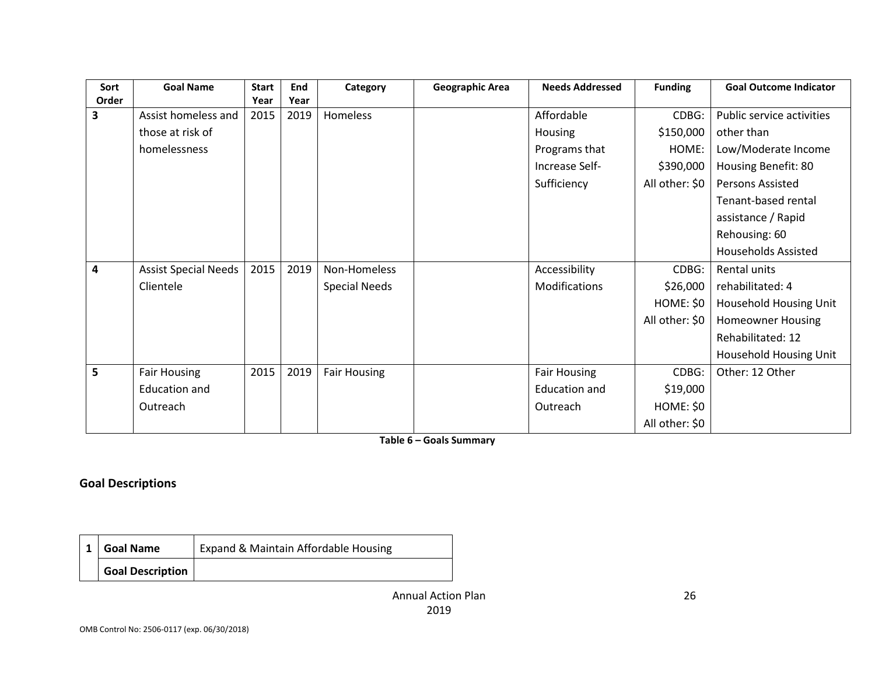| Sort  | <b>Goal Name</b>            | <b>Start</b> | End  | Category             | <b>Geographic Area</b> | <b>Needs Addressed</b> | <b>Funding</b> | <b>Goal Outcome Indicator</b> |
|-------|-----------------------------|--------------|------|----------------------|------------------------|------------------------|----------------|-------------------------------|
| Order |                             | Year         | Year |                      |                        |                        |                |                               |
| 3     | Assist homeless and         | 2015         | 2019 | Homeless             |                        | Affordable             | CDBG:          | Public service activities     |
|       | those at risk of            |              |      |                      |                        | Housing                | \$150,000      | other than                    |
|       | homelessness                |              |      |                      |                        | Programs that          | HOME:          | Low/Moderate Income           |
|       |                             |              |      |                      |                        | Increase Self-         | \$390,000      | Housing Benefit: 80           |
|       |                             |              |      |                      |                        | Sufficiency            | All other: \$0 | <b>Persons Assisted</b>       |
|       |                             |              |      |                      |                        |                        |                | Tenant-based rental           |
|       |                             |              |      |                      |                        |                        |                | assistance / Rapid            |
|       |                             |              |      |                      |                        |                        |                | Rehousing: 60                 |
|       |                             |              |      |                      |                        |                        |                | <b>Households Assisted</b>    |
| 4     | <b>Assist Special Needs</b> | 2015         | 2019 | Non-Homeless         |                        | Accessibility          | CDBG:          | Rental units                  |
|       | Clientele                   |              |      | <b>Special Needs</b> |                        | Modifications          | \$26,000       | rehabilitated: 4              |
|       |                             |              |      |                      |                        |                        | HOME: \$0      | Household Housing Unit        |
|       |                             |              |      |                      |                        |                        | All other: \$0 | <b>Homeowner Housing</b>      |
|       |                             |              |      |                      |                        |                        |                | Rehabilitated: 12             |
|       |                             |              |      |                      |                        |                        |                | Household Housing Unit        |
| 5     | <b>Fair Housing</b>         | 2015         | 2019 | <b>Fair Housing</b>  |                        | <b>Fair Housing</b>    | CDBG:          | Other: 12 Other               |
|       | <b>Education and</b>        |              |      |                      |                        | <b>Education and</b>   | \$19,000       |                               |
|       | Outreach                    |              |      |                      |                        | Outreach               | HOME: \$0      |                               |
|       |                             |              |      |                      |                        |                        | All other: \$0 |                               |

**Table 6 – Goals Summary**

#### **Goal Descriptions**

| <b>Goal Name</b>        | Expand & Maintain Affordable Housing |
|-------------------------|--------------------------------------|
| <b>Goal Description</b> |                                      |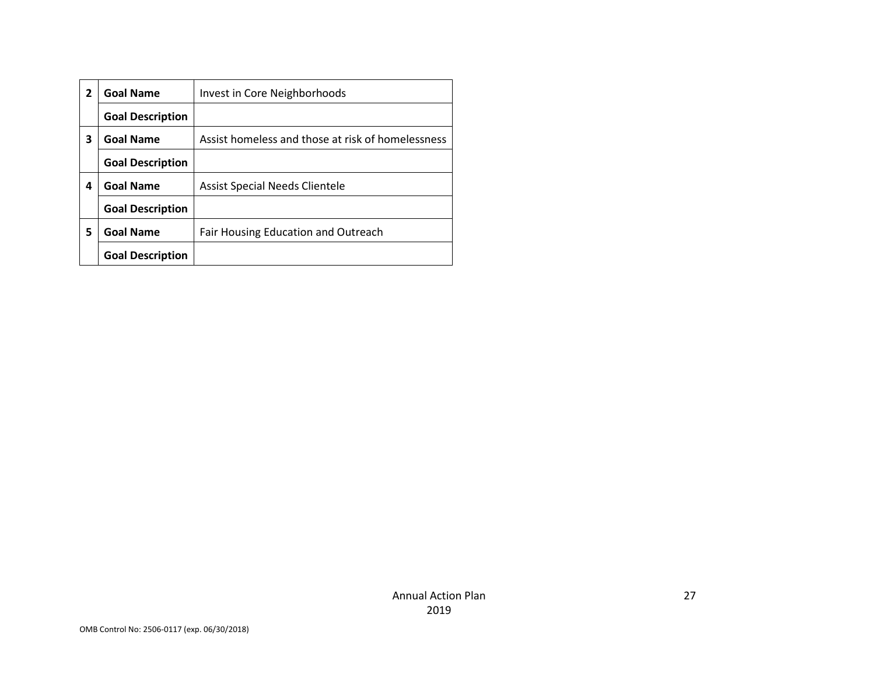| 2 | <b>Goal Name</b>        | Invest in Core Neighborhoods                      |
|---|-------------------------|---------------------------------------------------|
|   | <b>Goal Description</b> |                                                   |
| 3 | <b>Goal Name</b>        | Assist homeless and those at risk of homelessness |
|   | <b>Goal Description</b> |                                                   |
| 4 | <b>Goal Name</b>        | <b>Assist Special Needs Clientele</b>             |
|   | <b>Goal Description</b> |                                                   |
| 5 | <b>Goal Name</b>        | Fair Housing Education and Outreach               |
|   | <b>Goal Description</b> |                                                   |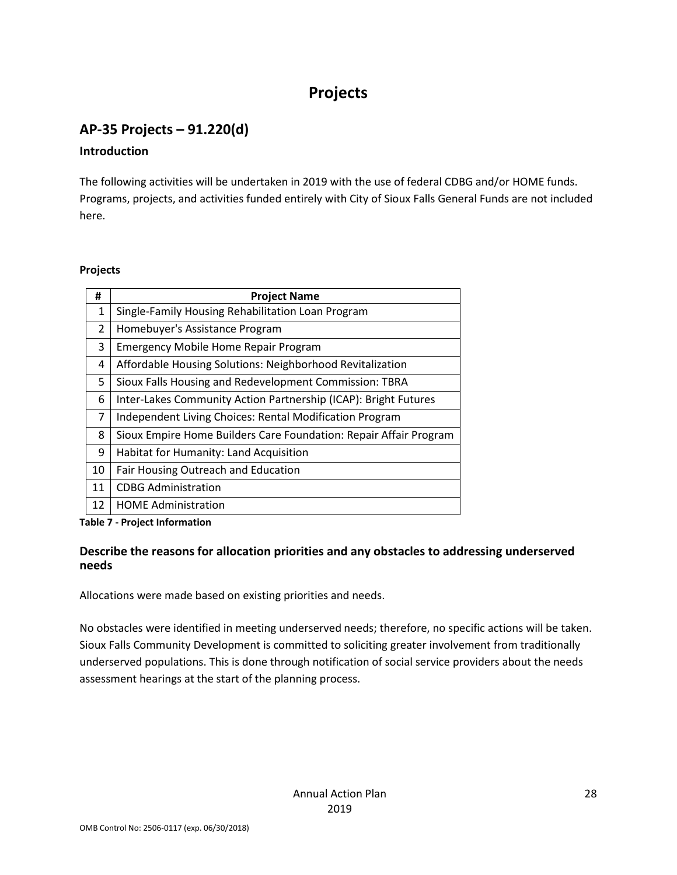# **Projects**

# **AP-35 Projects – 91.220(d)**

#### **Introduction**

The following activities will be undertaken in 2019 with the use of federal CDBG and/or HOME funds. Programs, projects, and activities funded entirely with City of Sioux Falls General Funds are not included here.

#### **Projects**

| #             | <b>Project Name</b>                                               |
|---------------|-------------------------------------------------------------------|
| 1             | Single-Family Housing Rehabilitation Loan Program                 |
| $\mathcal{P}$ | Homebuyer's Assistance Program                                    |
| 3             | <b>Emergency Mobile Home Repair Program</b>                       |
| 4             | Affordable Housing Solutions: Neighborhood Revitalization         |
| 5             | Sioux Falls Housing and Redevelopment Commission: TBRA            |
| 6             | Inter-Lakes Community Action Partnership (ICAP): Bright Futures   |
| 7             | Independent Living Choices: Rental Modification Program           |
| 8             | Sioux Empire Home Builders Care Foundation: Repair Affair Program |
| 9             | Habitat for Humanity: Land Acquisition                            |
| 10            | Fair Housing Outreach and Education                               |
| 11            | <b>CDBG Administration</b>                                        |
| 12            | <b>HOME Administration</b>                                        |

**Table 7 - Project Information**

#### **Describe the reasons for allocation priorities and any obstacles to addressing underserved needs**

Allocations were made based on existing priorities and needs.

No obstacles were identified in meeting underserved needs; therefore, no specific actions will be taken. Sioux Falls Community Development is committed to soliciting greater involvement from traditionally underserved populations. This is done through notification of social service providers about the needs assessment hearings at the start of the planning process.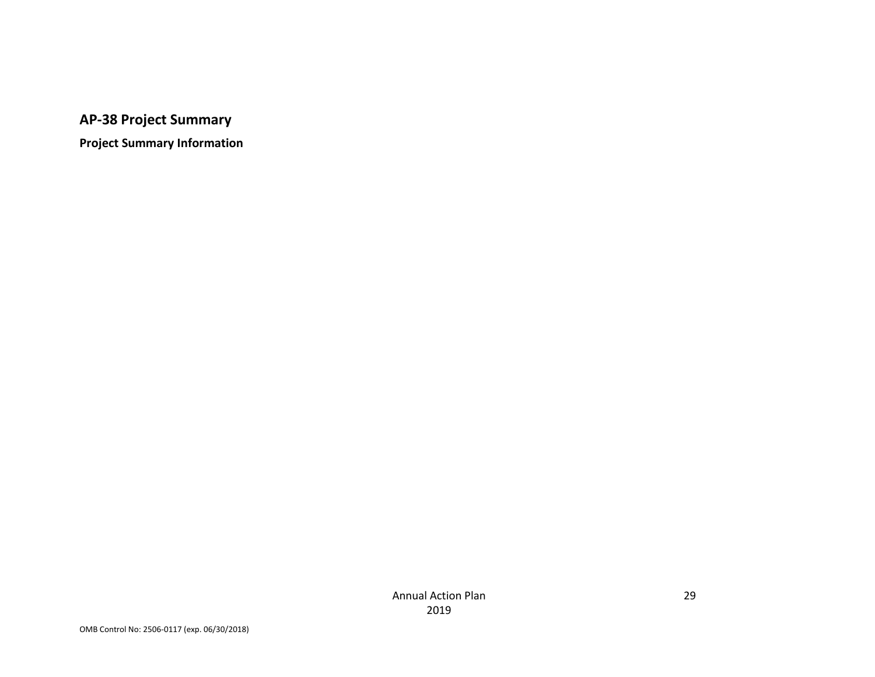**AP-38 Project Summary**

**Project Summary Information**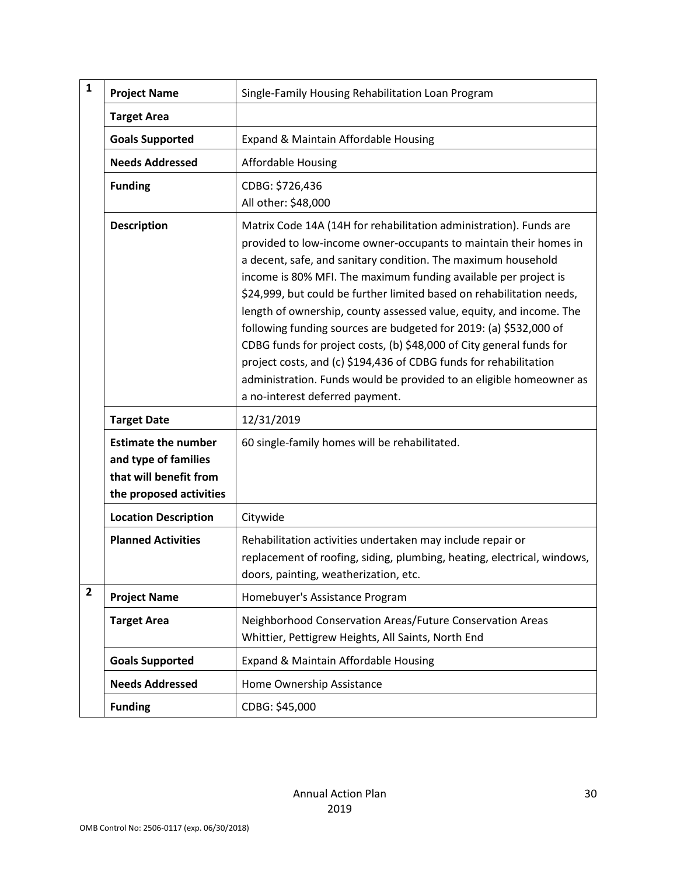| $\mathbf{1}$   | <b>Project Name</b>                                                                                     | Single-Family Housing Rehabilitation Loan Program                                                                                                                                                                                                                                                                                                                                                                                                                                                                                                                                                                                                                                                                                                       |  |  |
|----------------|---------------------------------------------------------------------------------------------------------|---------------------------------------------------------------------------------------------------------------------------------------------------------------------------------------------------------------------------------------------------------------------------------------------------------------------------------------------------------------------------------------------------------------------------------------------------------------------------------------------------------------------------------------------------------------------------------------------------------------------------------------------------------------------------------------------------------------------------------------------------------|--|--|
|                | <b>Target Area</b>                                                                                      |                                                                                                                                                                                                                                                                                                                                                                                                                                                                                                                                                                                                                                                                                                                                                         |  |  |
|                | <b>Goals Supported</b>                                                                                  | Expand & Maintain Affordable Housing                                                                                                                                                                                                                                                                                                                                                                                                                                                                                                                                                                                                                                                                                                                    |  |  |
|                | <b>Needs Addressed</b>                                                                                  | <b>Affordable Housing</b>                                                                                                                                                                                                                                                                                                                                                                                                                                                                                                                                                                                                                                                                                                                               |  |  |
|                | <b>Funding</b>                                                                                          | CDBG: \$726,436<br>All other: \$48,000                                                                                                                                                                                                                                                                                                                                                                                                                                                                                                                                                                                                                                                                                                                  |  |  |
|                | <b>Description</b>                                                                                      | Matrix Code 14A (14H for rehabilitation administration). Funds are<br>provided to low-income owner-occupants to maintain their homes in<br>a decent, safe, and sanitary condition. The maximum household<br>income is 80% MFI. The maximum funding available per project is<br>\$24,999, but could be further limited based on rehabilitation needs,<br>length of ownership, county assessed value, equity, and income. The<br>following funding sources are budgeted for 2019: (a) \$532,000 of<br>CDBG funds for project costs, (b) \$48,000 of City general funds for<br>project costs, and (c) \$194,436 of CDBG funds for rehabilitation<br>administration. Funds would be provided to an eligible homeowner as<br>a no-interest deferred payment. |  |  |
|                | <b>Target Date</b>                                                                                      | 12/31/2019                                                                                                                                                                                                                                                                                                                                                                                                                                                                                                                                                                                                                                                                                                                                              |  |  |
|                | <b>Estimate the number</b><br>and type of families<br>that will benefit from<br>the proposed activities | 60 single-family homes will be rehabilitated.                                                                                                                                                                                                                                                                                                                                                                                                                                                                                                                                                                                                                                                                                                           |  |  |
|                | <b>Location Description</b>                                                                             | Citywide                                                                                                                                                                                                                                                                                                                                                                                                                                                                                                                                                                                                                                                                                                                                                |  |  |
|                | <b>Planned Activities</b>                                                                               | Rehabilitation activities undertaken may include repair or<br>replacement of roofing, siding, plumbing, heating, electrical, windows,<br>doors, painting, weatherization, etc.                                                                                                                                                                                                                                                                                                                                                                                                                                                                                                                                                                          |  |  |
| $\overline{2}$ | <b>Project Name</b>                                                                                     | Homebuyer's Assistance Program                                                                                                                                                                                                                                                                                                                                                                                                                                                                                                                                                                                                                                                                                                                          |  |  |
|                | <b>Target Area</b>                                                                                      | Neighborhood Conservation Areas/Future Conservation Areas<br>Whittier, Pettigrew Heights, All Saints, North End                                                                                                                                                                                                                                                                                                                                                                                                                                                                                                                                                                                                                                         |  |  |
|                | <b>Goals Supported</b>                                                                                  | Expand & Maintain Affordable Housing                                                                                                                                                                                                                                                                                                                                                                                                                                                                                                                                                                                                                                                                                                                    |  |  |
|                | <b>Needs Addressed</b>                                                                                  | Home Ownership Assistance                                                                                                                                                                                                                                                                                                                                                                                                                                                                                                                                                                                                                                                                                                                               |  |  |
|                | <b>Funding</b>                                                                                          | CDBG: \$45,000                                                                                                                                                                                                                                                                                                                                                                                                                                                                                                                                                                                                                                                                                                                                          |  |  |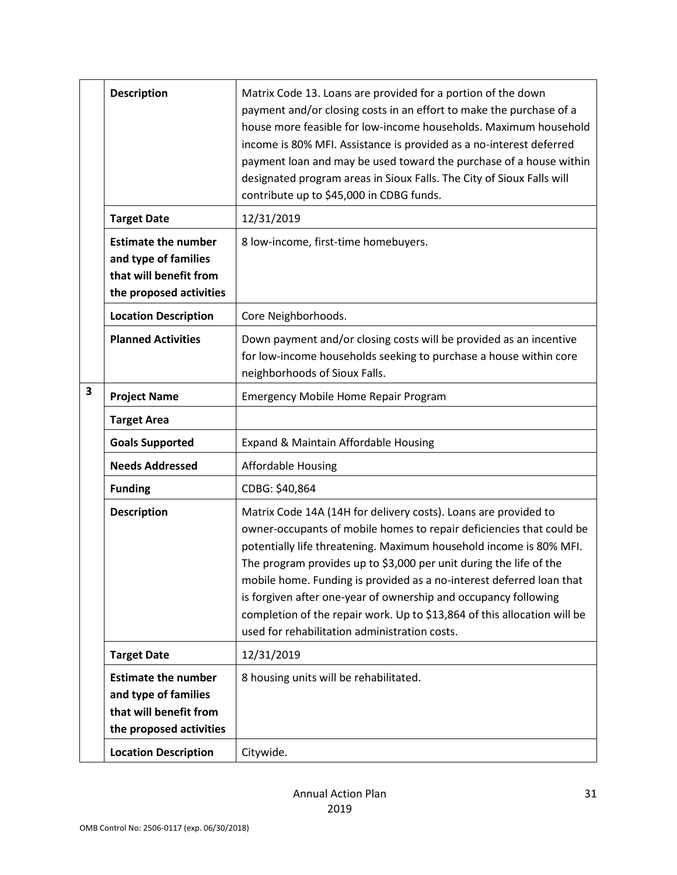|                         | <b>Description</b>                                                                                      | Matrix Code 13. Loans are provided for a portion of the down<br>payment and/or closing costs in an effort to make the purchase of a<br>house more feasible for low-income households. Maximum household<br>income is 80% MFI. Assistance is provided as a no-interest deferred<br>payment loan and may be used toward the purchase of a house within<br>designated program areas in Sioux Falls. The City of Sioux Falls will<br>contribute up to \$45,000 in CDBG funds.                                                                                   |
|-------------------------|---------------------------------------------------------------------------------------------------------|-------------------------------------------------------------------------------------------------------------------------------------------------------------------------------------------------------------------------------------------------------------------------------------------------------------------------------------------------------------------------------------------------------------------------------------------------------------------------------------------------------------------------------------------------------------|
|                         | <b>Target Date</b>                                                                                      | 12/31/2019                                                                                                                                                                                                                                                                                                                                                                                                                                                                                                                                                  |
|                         | <b>Estimate the number</b><br>and type of families<br>that will benefit from<br>the proposed activities | 8 low-income, first-time homebuyers.                                                                                                                                                                                                                                                                                                                                                                                                                                                                                                                        |
|                         | <b>Location Description</b>                                                                             | Core Neighborhoods.                                                                                                                                                                                                                                                                                                                                                                                                                                                                                                                                         |
|                         | <b>Planned Activities</b>                                                                               | Down payment and/or closing costs will be provided as an incentive<br>for low-income households seeking to purchase a house within core<br>neighborhoods of Sioux Falls.                                                                                                                                                                                                                                                                                                                                                                                    |
| $\overline{\mathbf{3}}$ | <b>Project Name</b>                                                                                     | <b>Emergency Mobile Home Repair Program</b>                                                                                                                                                                                                                                                                                                                                                                                                                                                                                                                 |
|                         | <b>Target Area</b>                                                                                      |                                                                                                                                                                                                                                                                                                                                                                                                                                                                                                                                                             |
|                         | <b>Goals Supported</b>                                                                                  | Expand & Maintain Affordable Housing                                                                                                                                                                                                                                                                                                                                                                                                                                                                                                                        |
|                         | <b>Needs Addressed</b>                                                                                  | <b>Affordable Housing</b>                                                                                                                                                                                                                                                                                                                                                                                                                                                                                                                                   |
|                         | <b>Funding</b>                                                                                          | CDBG: \$40,864                                                                                                                                                                                                                                                                                                                                                                                                                                                                                                                                              |
|                         | <b>Description</b>                                                                                      | Matrix Code 14A (14H for delivery costs). Loans are provided to<br>owner-occupants of mobile homes to repair deficiencies that could be<br>potentially life threatening. Maximum household income is 80% MFI.<br>The program provides up to \$3,000 per unit during the life of the<br>mobile home. Funding is provided as a no-interest deferred loan that<br>is forgiven after one-year of ownership and occupancy following<br>completion of the repair work. Up to \$13,864 of this allocation will be<br>used for rehabilitation administration costs. |
|                         | <b>Target Date</b>                                                                                      | 12/31/2019                                                                                                                                                                                                                                                                                                                                                                                                                                                                                                                                                  |
|                         | <b>Estimate the number</b><br>and type of families<br>that will benefit from<br>the proposed activities | 8 housing units will be rehabilitated.                                                                                                                                                                                                                                                                                                                                                                                                                                                                                                                      |
|                         | <b>Location Description</b>                                                                             | Citywide.                                                                                                                                                                                                                                                                                                                                                                                                                                                                                                                                                   |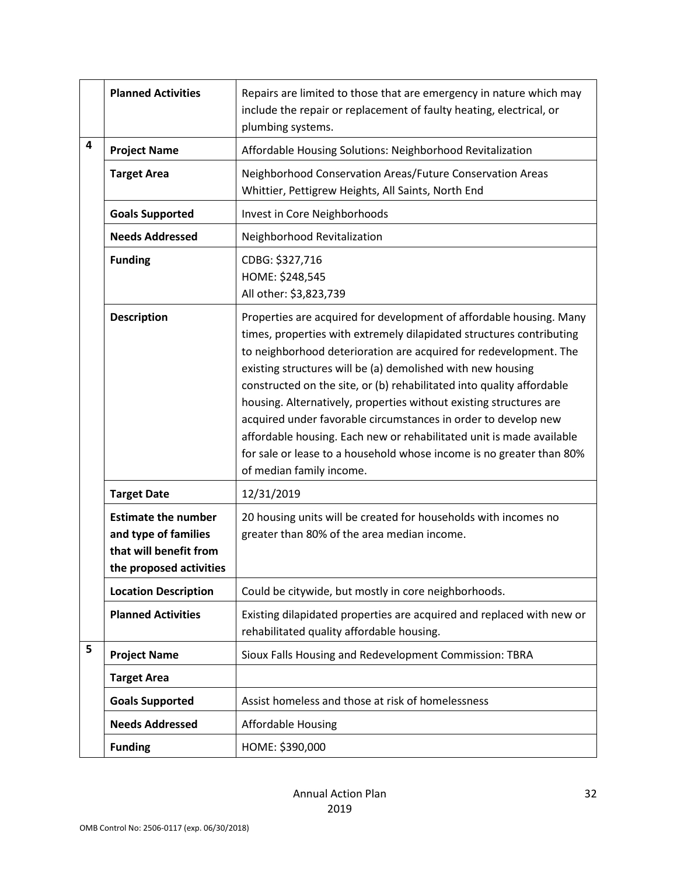|   | <b>Planned Activities</b>                                                                               | Repairs are limited to those that are emergency in nature which may<br>include the repair or replacement of faulty heating, electrical, or<br>plumbing systems.                                                                                                                                                                                                                                                                                                                                                                                                                                                                                                              |
|---|---------------------------------------------------------------------------------------------------------|------------------------------------------------------------------------------------------------------------------------------------------------------------------------------------------------------------------------------------------------------------------------------------------------------------------------------------------------------------------------------------------------------------------------------------------------------------------------------------------------------------------------------------------------------------------------------------------------------------------------------------------------------------------------------|
| 4 | <b>Project Name</b>                                                                                     | Affordable Housing Solutions: Neighborhood Revitalization                                                                                                                                                                                                                                                                                                                                                                                                                                                                                                                                                                                                                    |
|   | <b>Target Area</b>                                                                                      | Neighborhood Conservation Areas/Future Conservation Areas<br>Whittier, Pettigrew Heights, All Saints, North End                                                                                                                                                                                                                                                                                                                                                                                                                                                                                                                                                              |
|   | <b>Goals Supported</b>                                                                                  | Invest in Core Neighborhoods                                                                                                                                                                                                                                                                                                                                                                                                                                                                                                                                                                                                                                                 |
|   | <b>Needs Addressed</b>                                                                                  | Neighborhood Revitalization                                                                                                                                                                                                                                                                                                                                                                                                                                                                                                                                                                                                                                                  |
|   | <b>Funding</b>                                                                                          | CDBG: \$327,716<br>HOME: \$248,545<br>All other: \$3,823,739                                                                                                                                                                                                                                                                                                                                                                                                                                                                                                                                                                                                                 |
|   | <b>Description</b>                                                                                      | Properties are acquired for development of affordable housing. Many<br>times, properties with extremely dilapidated structures contributing<br>to neighborhood deterioration are acquired for redevelopment. The<br>existing structures will be (a) demolished with new housing<br>constructed on the site, or (b) rehabilitated into quality affordable<br>housing. Alternatively, properties without existing structures are<br>acquired under favorable circumstances in order to develop new<br>affordable housing. Each new or rehabilitated unit is made available<br>for sale or lease to a household whose income is no greater than 80%<br>of median family income. |
|   | <b>Target Date</b>                                                                                      | 12/31/2019                                                                                                                                                                                                                                                                                                                                                                                                                                                                                                                                                                                                                                                                   |
|   | <b>Estimate the number</b><br>and type of families<br>that will benefit from<br>the proposed activities | 20 housing units will be created for households with incomes no<br>greater than 80% of the area median income.                                                                                                                                                                                                                                                                                                                                                                                                                                                                                                                                                               |
|   | <b>Location Description</b>                                                                             | Could be citywide, but mostly in core neighborhoods.                                                                                                                                                                                                                                                                                                                                                                                                                                                                                                                                                                                                                         |
|   | <b>Planned Activities</b>                                                                               | Existing dilapidated properties are acquired and replaced with new or<br>rehabilitated quality affordable housing.                                                                                                                                                                                                                                                                                                                                                                                                                                                                                                                                                           |
| 5 | <b>Project Name</b>                                                                                     | Sioux Falls Housing and Redevelopment Commission: TBRA                                                                                                                                                                                                                                                                                                                                                                                                                                                                                                                                                                                                                       |
|   | <b>Target Area</b>                                                                                      |                                                                                                                                                                                                                                                                                                                                                                                                                                                                                                                                                                                                                                                                              |
|   | <b>Goals Supported</b>                                                                                  | Assist homeless and those at risk of homelessness                                                                                                                                                                                                                                                                                                                                                                                                                                                                                                                                                                                                                            |
|   | <b>Needs Addressed</b>                                                                                  | <b>Affordable Housing</b>                                                                                                                                                                                                                                                                                                                                                                                                                                                                                                                                                                                                                                                    |
|   | <b>Funding</b>                                                                                          | HOME: \$390,000                                                                                                                                                                                                                                                                                                                                                                                                                                                                                                                                                                                                                                                              |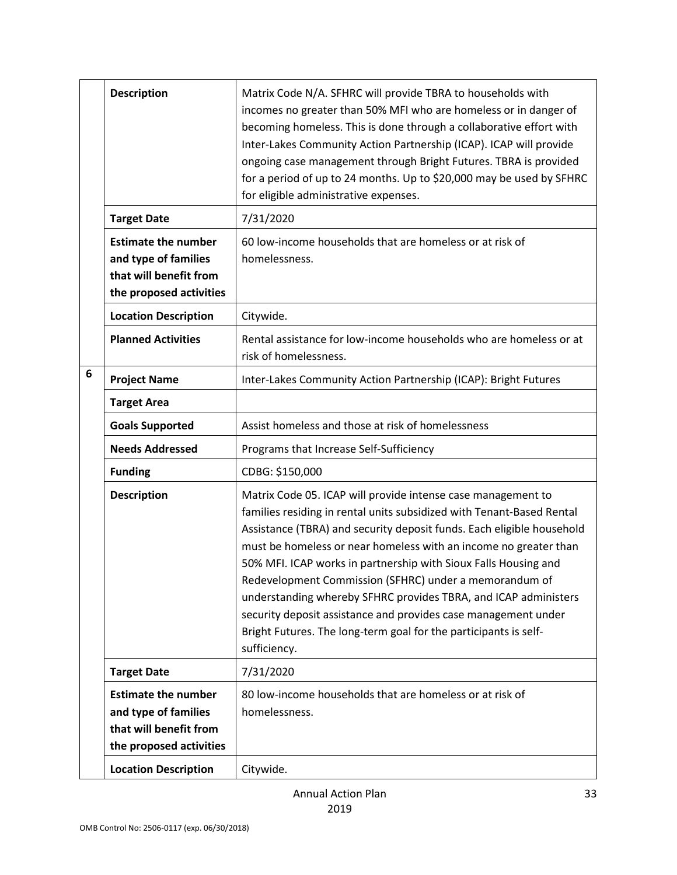|   | <b>Description</b>                                                                                      | Matrix Code N/A. SFHRC will provide TBRA to households with<br>incomes no greater than 50% MFI who are homeless or in danger of<br>becoming homeless. This is done through a collaborative effort with<br>Inter-Lakes Community Action Partnership (ICAP). ICAP will provide<br>ongoing case management through Bright Futures. TBRA is provided<br>for a period of up to 24 months. Up to \$20,000 may be used by SFHRC<br>for eligible administrative expenses.                                                                                                                                                                        |
|---|---------------------------------------------------------------------------------------------------------|------------------------------------------------------------------------------------------------------------------------------------------------------------------------------------------------------------------------------------------------------------------------------------------------------------------------------------------------------------------------------------------------------------------------------------------------------------------------------------------------------------------------------------------------------------------------------------------------------------------------------------------|
|   | <b>Target Date</b>                                                                                      | 7/31/2020                                                                                                                                                                                                                                                                                                                                                                                                                                                                                                                                                                                                                                |
|   | <b>Estimate the number</b><br>and type of families<br>that will benefit from<br>the proposed activities | 60 low-income households that are homeless or at risk of<br>homelessness.                                                                                                                                                                                                                                                                                                                                                                                                                                                                                                                                                                |
|   | <b>Location Description</b>                                                                             | Citywide.                                                                                                                                                                                                                                                                                                                                                                                                                                                                                                                                                                                                                                |
|   | <b>Planned Activities</b>                                                                               | Rental assistance for low-income households who are homeless or at<br>risk of homelessness.                                                                                                                                                                                                                                                                                                                                                                                                                                                                                                                                              |
| 6 | <b>Project Name</b>                                                                                     | Inter-Lakes Community Action Partnership (ICAP): Bright Futures                                                                                                                                                                                                                                                                                                                                                                                                                                                                                                                                                                          |
|   | <b>Target Area</b>                                                                                      |                                                                                                                                                                                                                                                                                                                                                                                                                                                                                                                                                                                                                                          |
|   | <b>Goals Supported</b>                                                                                  | Assist homeless and those at risk of homelessness                                                                                                                                                                                                                                                                                                                                                                                                                                                                                                                                                                                        |
|   | <b>Needs Addressed</b>                                                                                  | Programs that Increase Self-Sufficiency                                                                                                                                                                                                                                                                                                                                                                                                                                                                                                                                                                                                  |
|   | <b>Funding</b>                                                                                          | CDBG: \$150,000                                                                                                                                                                                                                                                                                                                                                                                                                                                                                                                                                                                                                          |
|   | <b>Description</b>                                                                                      | Matrix Code 05. ICAP will provide intense case management to<br>families residing in rental units subsidized with Tenant-Based Rental<br>Assistance (TBRA) and security deposit funds. Each eligible household<br>must be homeless or near homeless with an income no greater than<br>50% MFI. ICAP works in partnership with Sioux Falls Housing and<br>Redevelopment Commission (SFHRC) under a memorandum of<br>understanding whereby SFHRC provides TBRA, and ICAP administers<br>security deposit assistance and provides case management under<br>Bright Futures. The long-term goal for the participants is self-<br>sufficiency. |
|   | <b>Target Date</b>                                                                                      | 7/31/2020                                                                                                                                                                                                                                                                                                                                                                                                                                                                                                                                                                                                                                |
|   | <b>Estimate the number</b><br>and type of families<br>that will benefit from<br>the proposed activities | 80 low-income households that are homeless or at risk of<br>homelessness.                                                                                                                                                                                                                                                                                                                                                                                                                                                                                                                                                                |
|   | <b>Location Description</b>                                                                             | Citywide.                                                                                                                                                                                                                                                                                                                                                                                                                                                                                                                                                                                                                                |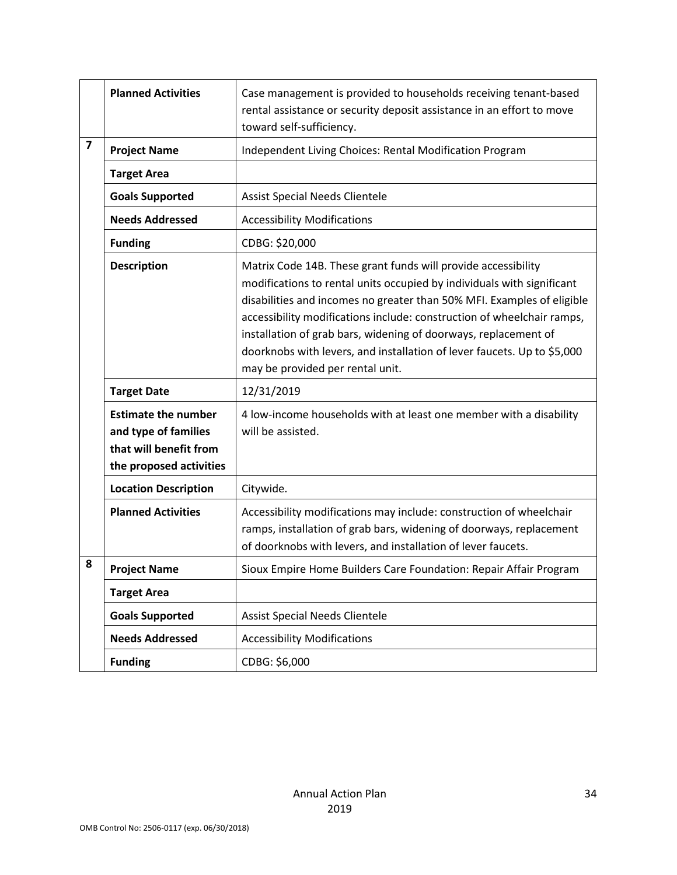|                         | <b>Planned Activities</b>                                                                               | Case management is provided to households receiving tenant-based<br>rental assistance or security deposit assistance in an effort to move<br>toward self-sufficiency.                                                                                                                                                                                                                                                                                                         |
|-------------------------|---------------------------------------------------------------------------------------------------------|-------------------------------------------------------------------------------------------------------------------------------------------------------------------------------------------------------------------------------------------------------------------------------------------------------------------------------------------------------------------------------------------------------------------------------------------------------------------------------|
| $\overline{\mathbf{z}}$ | <b>Project Name</b>                                                                                     | Independent Living Choices: Rental Modification Program                                                                                                                                                                                                                                                                                                                                                                                                                       |
|                         | <b>Target Area</b>                                                                                      |                                                                                                                                                                                                                                                                                                                                                                                                                                                                               |
|                         | <b>Goals Supported</b>                                                                                  | <b>Assist Special Needs Clientele</b>                                                                                                                                                                                                                                                                                                                                                                                                                                         |
|                         | <b>Needs Addressed</b>                                                                                  | <b>Accessibility Modifications</b>                                                                                                                                                                                                                                                                                                                                                                                                                                            |
|                         | <b>Funding</b>                                                                                          | CDBG: \$20,000                                                                                                                                                                                                                                                                                                                                                                                                                                                                |
|                         | <b>Description</b>                                                                                      | Matrix Code 14B. These grant funds will provide accessibility<br>modifications to rental units occupied by individuals with significant<br>disabilities and incomes no greater than 50% MFI. Examples of eligible<br>accessibility modifications include: construction of wheelchair ramps,<br>installation of grab bars, widening of doorways, replacement of<br>doorknobs with levers, and installation of lever faucets. Up to \$5,000<br>may be provided per rental unit. |
|                         | <b>Target Date</b>                                                                                      | 12/31/2019                                                                                                                                                                                                                                                                                                                                                                                                                                                                    |
|                         | <b>Estimate the number</b><br>and type of families<br>that will benefit from<br>the proposed activities | 4 low-income households with at least one member with a disability<br>will be assisted.                                                                                                                                                                                                                                                                                                                                                                                       |
|                         | <b>Location Description</b>                                                                             | Citywide.                                                                                                                                                                                                                                                                                                                                                                                                                                                                     |
|                         | <b>Planned Activities</b>                                                                               | Accessibility modifications may include: construction of wheelchair<br>ramps, installation of grab bars, widening of doorways, replacement<br>of doorknobs with levers, and installation of lever faucets.                                                                                                                                                                                                                                                                    |
| 8                       | <b>Project Name</b>                                                                                     | Sioux Empire Home Builders Care Foundation: Repair Affair Program                                                                                                                                                                                                                                                                                                                                                                                                             |
|                         | <b>Target Area</b>                                                                                      |                                                                                                                                                                                                                                                                                                                                                                                                                                                                               |
|                         | <b>Goals Supported</b>                                                                                  | <b>Assist Special Needs Clientele</b>                                                                                                                                                                                                                                                                                                                                                                                                                                         |
|                         | <b>Needs Addressed</b>                                                                                  | <b>Accessibility Modifications</b>                                                                                                                                                                                                                                                                                                                                                                                                                                            |
|                         | <b>Funding</b>                                                                                          | CDBG: \$6,000                                                                                                                                                                                                                                                                                                                                                                                                                                                                 |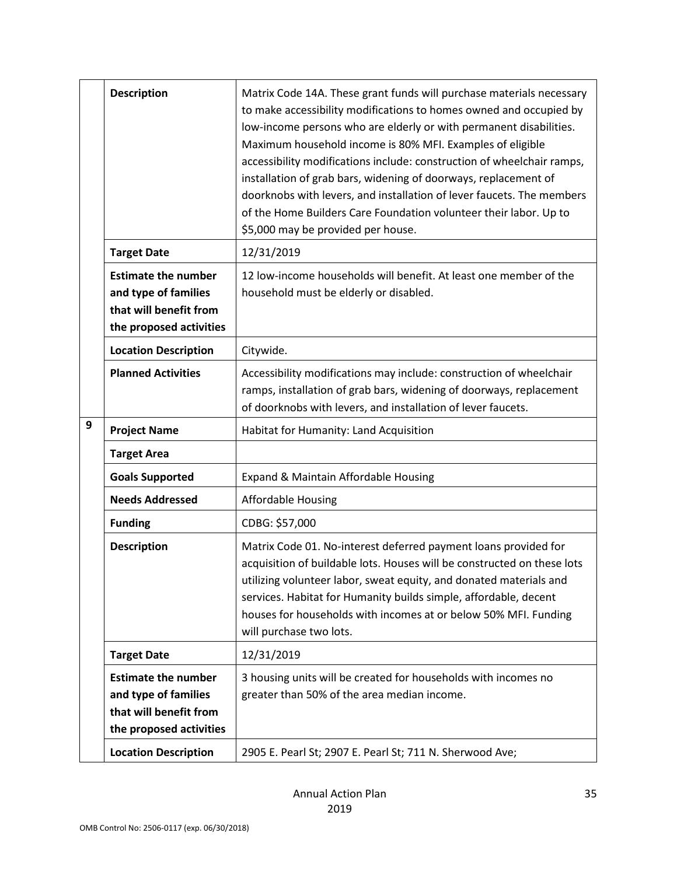|   | <b>Description</b>                                                                                      | Matrix Code 14A. These grant funds will purchase materials necessary                                                                                                                                                                                                                                                                                                                                                                                                                                                                   |
|---|---------------------------------------------------------------------------------------------------------|----------------------------------------------------------------------------------------------------------------------------------------------------------------------------------------------------------------------------------------------------------------------------------------------------------------------------------------------------------------------------------------------------------------------------------------------------------------------------------------------------------------------------------------|
|   |                                                                                                         | to make accessibility modifications to homes owned and occupied by<br>low-income persons who are elderly or with permanent disabilities.<br>Maximum household income is 80% MFI. Examples of eligible<br>accessibility modifications include: construction of wheelchair ramps,<br>installation of grab bars, widening of doorways, replacement of<br>doorknobs with levers, and installation of lever faucets. The members<br>of the Home Builders Care Foundation volunteer their labor. Up to<br>\$5,000 may be provided per house. |
|   | <b>Target Date</b>                                                                                      | 12/31/2019                                                                                                                                                                                                                                                                                                                                                                                                                                                                                                                             |
|   | <b>Estimate the number</b><br>and type of families<br>that will benefit from<br>the proposed activities | 12 low-income households will benefit. At least one member of the<br>household must be elderly or disabled.                                                                                                                                                                                                                                                                                                                                                                                                                            |
|   | <b>Location Description</b>                                                                             | Citywide.                                                                                                                                                                                                                                                                                                                                                                                                                                                                                                                              |
|   | <b>Planned Activities</b>                                                                               | Accessibility modifications may include: construction of wheelchair<br>ramps, installation of grab bars, widening of doorways, replacement<br>of doorknobs with levers, and installation of lever faucets.                                                                                                                                                                                                                                                                                                                             |
| 9 | <b>Project Name</b>                                                                                     | Habitat for Humanity: Land Acquisition                                                                                                                                                                                                                                                                                                                                                                                                                                                                                                 |
|   |                                                                                                         |                                                                                                                                                                                                                                                                                                                                                                                                                                                                                                                                        |
|   | <b>Target Area</b>                                                                                      |                                                                                                                                                                                                                                                                                                                                                                                                                                                                                                                                        |
|   | <b>Goals Supported</b>                                                                                  | Expand & Maintain Affordable Housing                                                                                                                                                                                                                                                                                                                                                                                                                                                                                                   |
|   | <b>Needs Addressed</b>                                                                                  | <b>Affordable Housing</b>                                                                                                                                                                                                                                                                                                                                                                                                                                                                                                              |
|   | <b>Funding</b>                                                                                          | CDBG: \$57,000                                                                                                                                                                                                                                                                                                                                                                                                                                                                                                                         |
|   | <b>Description</b>                                                                                      | Matrix Code 01. No-interest deferred payment loans provided for<br>acquisition of buildable lots. Houses will be constructed on these lots<br>utilizing volunteer labor, sweat equity, and donated materials and<br>services. Habitat for Humanity builds simple, affordable, decent<br>houses for households with incomes at or below 50% MFI. Funding<br>will purchase two lots.                                                                                                                                                     |
|   | <b>Target Date</b>                                                                                      | 12/31/2019                                                                                                                                                                                                                                                                                                                                                                                                                                                                                                                             |
|   | <b>Estimate the number</b><br>and type of families<br>that will benefit from<br>the proposed activities | 3 housing units will be created for households with incomes no<br>greater than 50% of the area median income.                                                                                                                                                                                                                                                                                                                                                                                                                          |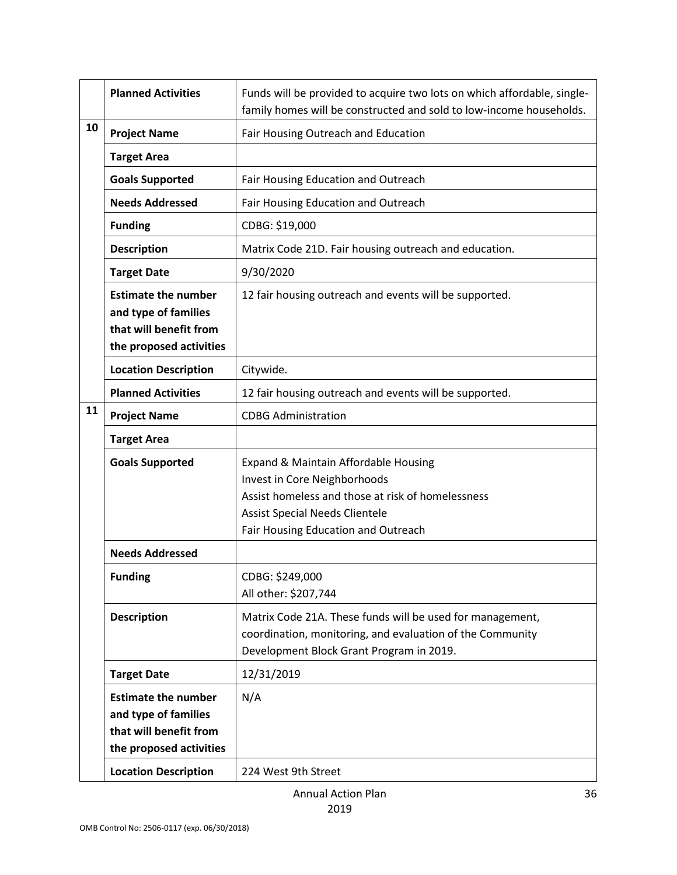|    | <b>Planned Activities</b>                                                                               | Funds will be provided to acquire two lots on which affordable, single-<br>family homes will be constructed and sold to low-income households.                                                            |
|----|---------------------------------------------------------------------------------------------------------|-----------------------------------------------------------------------------------------------------------------------------------------------------------------------------------------------------------|
| 10 | <b>Project Name</b>                                                                                     | Fair Housing Outreach and Education                                                                                                                                                                       |
|    | <b>Target Area</b>                                                                                      |                                                                                                                                                                                                           |
|    | <b>Goals Supported</b>                                                                                  | Fair Housing Education and Outreach                                                                                                                                                                       |
|    | <b>Needs Addressed</b>                                                                                  | Fair Housing Education and Outreach                                                                                                                                                                       |
|    | <b>Funding</b>                                                                                          | CDBG: \$19,000                                                                                                                                                                                            |
|    | <b>Description</b>                                                                                      | Matrix Code 21D. Fair housing outreach and education.                                                                                                                                                     |
|    | <b>Target Date</b>                                                                                      | 9/30/2020                                                                                                                                                                                                 |
|    | <b>Estimate the number</b><br>and type of families<br>that will benefit from<br>the proposed activities | 12 fair housing outreach and events will be supported.                                                                                                                                                    |
|    | <b>Location Description</b>                                                                             | Citywide.                                                                                                                                                                                                 |
|    | <b>Planned Activities</b>                                                                               | 12 fair housing outreach and events will be supported.                                                                                                                                                    |
| 11 | <b>Project Name</b>                                                                                     | <b>CDBG Administration</b>                                                                                                                                                                                |
|    | <b>Target Area</b>                                                                                      |                                                                                                                                                                                                           |
|    | <b>Goals Supported</b>                                                                                  | Expand & Maintain Affordable Housing<br>Invest in Core Neighborhoods<br>Assist homeless and those at risk of homelessness<br><b>Assist Special Needs Clientele</b><br>Fair Housing Education and Outreach |
|    | <b>Needs Addressed</b>                                                                                  |                                                                                                                                                                                                           |
|    | <b>Funding</b>                                                                                          | CDBG: \$249,000<br>All other: \$207,744                                                                                                                                                                   |
|    | <b>Description</b>                                                                                      | Matrix Code 21A. These funds will be used for management,<br>coordination, monitoring, and evaluation of the Community<br>Development Block Grant Program in 2019.                                        |
|    | <b>Target Date</b>                                                                                      | 12/31/2019                                                                                                                                                                                                |
|    | <b>Estimate the number</b><br>and type of families<br>that will benefit from<br>the proposed activities | N/A                                                                                                                                                                                                       |
|    | <b>Location Description</b>                                                                             | 224 West 9th Street                                                                                                                                                                                       |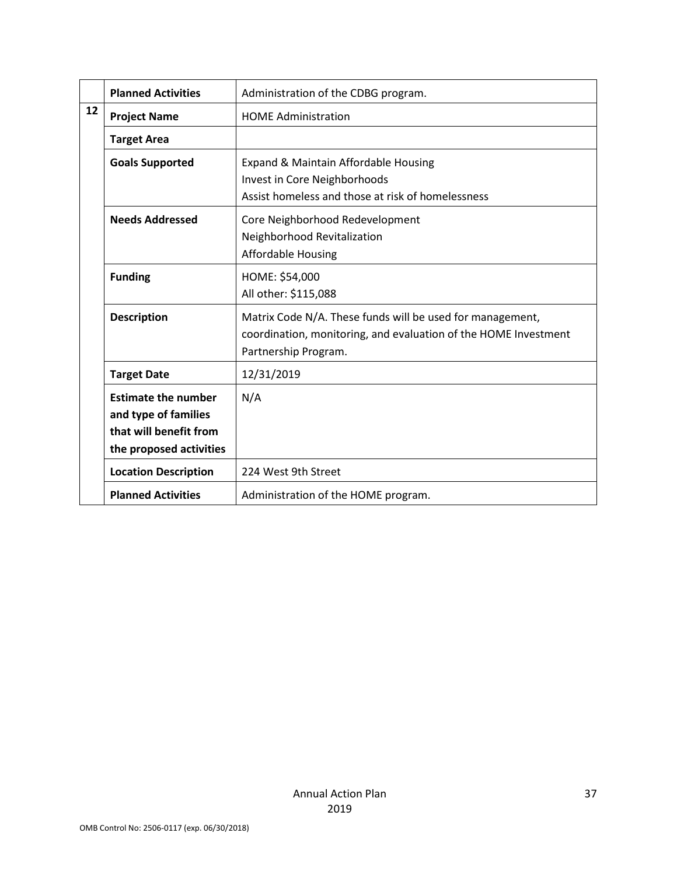|                                  | <b>Planned Activities</b>   | Administration of the CDBG program.                             |
|----------------------------------|-----------------------------|-----------------------------------------------------------------|
| 12                               | <b>Project Name</b>         | <b>HOME Administration</b>                                      |
|                                  | <b>Target Area</b>          |                                                                 |
|                                  | <b>Goals Supported</b>      | Expand & Maintain Affordable Housing                            |
|                                  |                             | Invest in Core Neighborhoods                                    |
|                                  |                             | Assist homeless and those at risk of homelessness               |
|                                  | <b>Needs Addressed</b>      | Core Neighborhood Redevelopment                                 |
|                                  |                             | Neighborhood Revitalization                                     |
|                                  |                             | <b>Affordable Housing</b>                                       |
| HOME: \$54,000<br><b>Funding</b> |                             |                                                                 |
|                                  |                             | All other: \$115,088                                            |
|                                  | <b>Description</b>          | Matrix Code N/A. These funds will be used for management,       |
|                                  |                             | coordination, monitoring, and evaluation of the HOME Investment |
|                                  |                             | Partnership Program.                                            |
|                                  | <b>Target Date</b>          | 12/31/2019                                                      |
|                                  | <b>Estimate the number</b>  | N/A                                                             |
|                                  | and type of families        |                                                                 |
|                                  | that will benefit from      |                                                                 |
|                                  | the proposed activities     |                                                                 |
|                                  | <b>Location Description</b> | 224 West 9th Street                                             |
|                                  | <b>Planned Activities</b>   | Administration of the HOME program.                             |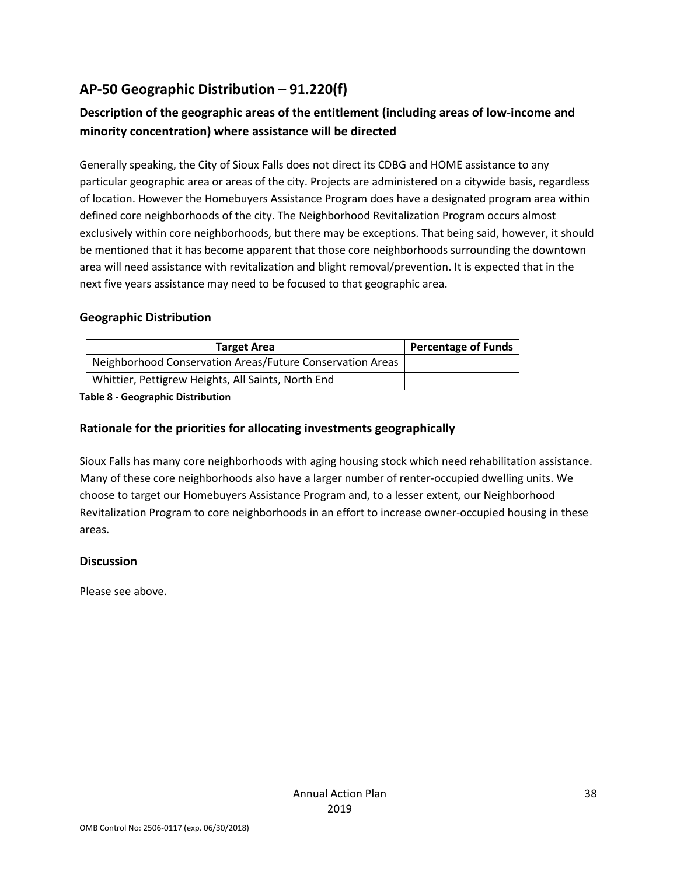# **AP-50 Geographic Distribution – 91.220(f)**

# **Description of the geographic areas of the entitlement (including areas of low-income and minority concentration) where assistance will be directed**

Generally speaking, the City of Sioux Falls does not direct its CDBG and HOME assistance to any particular geographic area or areas of the city. Projects are administered on a citywide basis, regardless of location. However the Homebuyers Assistance Program does have a designated program area within defined core neighborhoods of the city. The Neighborhood Revitalization Program occurs almost exclusively within core neighborhoods, but there may be exceptions. That being said, however, it should be mentioned that it has become apparent that those core neighborhoods surrounding the downtown area will need assistance with revitalization and blight removal/prevention. It is expected that in the next five years assistance may need to be focused to that geographic area.

#### **Geographic Distribution**

| <b>Target Area</b>                                        | <b>Percentage of Funds</b> |
|-----------------------------------------------------------|----------------------------|
| Neighborhood Conservation Areas/Future Conservation Areas |                            |
| Whittier, Pettigrew Heights, All Saints, North End        |                            |

**Table 8 - Geographic Distribution** 

#### **Rationale for the priorities for allocating investments geographically**

Sioux Falls has many core neighborhoods with aging housing stock which need rehabilitation assistance. Many of these core neighborhoods also have a larger number of renter-occupied dwelling units. We choose to target our Homebuyers Assistance Program and, to a lesser extent, our Neighborhood Revitalization Program to core neighborhoods in an effort to increase owner-occupied housing in these areas.

#### **Discussion**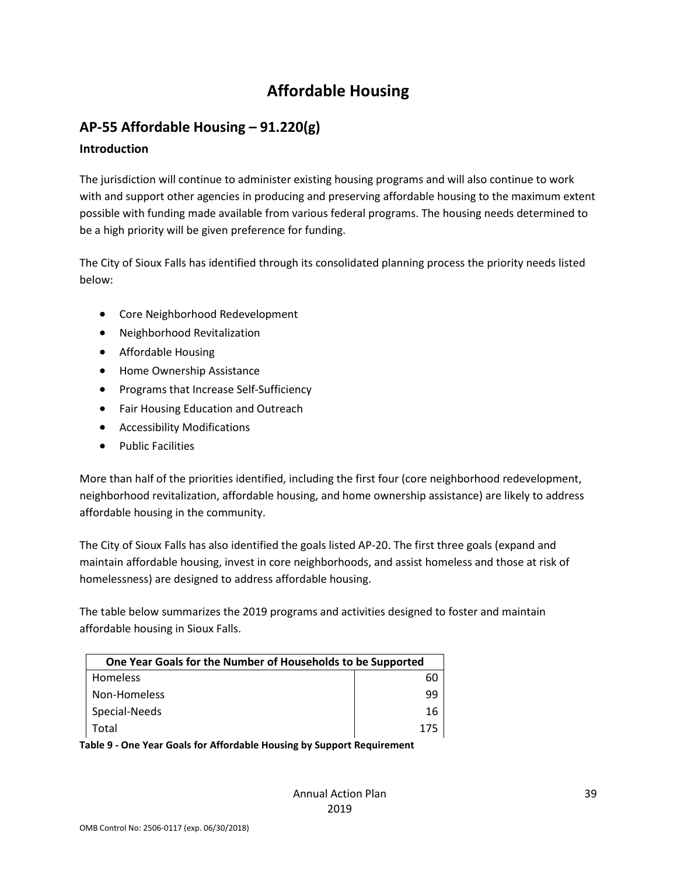# **Affordable Housing**

# **AP-55 Affordable Housing – 91.220(g)**

#### **Introduction**

The jurisdiction will continue to administer existing housing programs and will also continue to work with and support other agencies in producing and preserving affordable housing to the maximum extent possible with funding made available from various federal programs. The housing needs determined to be a high priority will be given preference for funding.

The City of Sioux Falls has identified through its consolidated planning process the priority needs listed below:

- Core Neighborhood Redevelopment
- Neighborhood Revitalization
- Affordable Housing
- Home Ownership Assistance
- Programs that Increase Self-Sufficiency
- Fair Housing Education and Outreach
- Accessibility Modifications
- Public Facilities

More than half of the priorities identified, including the first four (core neighborhood redevelopment, neighborhood revitalization, affordable housing, and home ownership assistance) are likely to address affordable housing in the community.

The City of Sioux Falls has also identified the goals listed AP-20. The first three goals (expand and maintain affordable housing, invest in core neighborhoods, and assist homeless and those at risk of homelessness) are designed to address affordable housing.

The table below summarizes the 2019 programs and activities designed to foster and maintain affordable housing in Sioux Falls.

| One Year Goals for the Number of Households to be Supported |     |
|-------------------------------------------------------------|-----|
| <b>Homeless</b>                                             | 60  |
| Non-Homeless                                                | ٩q  |
| Special-Needs                                               | 16  |
| Total                                                       | 175 |

**Table 9 - One Year Goals for Affordable Housing by Support Requirement**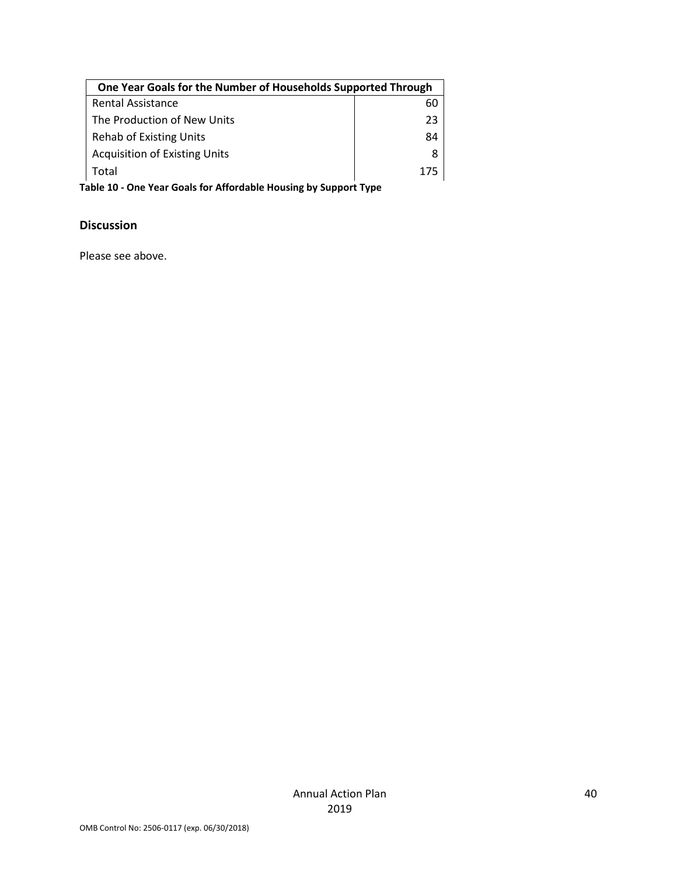| One Year Goals for the Number of Households Supported Through |     |
|---------------------------------------------------------------|-----|
| <b>Rental Assistance</b>                                      | 60  |
| The Production of New Units                                   | 23  |
| <b>Rehab of Existing Units</b>                                | 84  |
| <b>Acquisition of Existing Units</b>                          | 8   |
| Total                                                         | 175 |

**Table 10 - One Year Goals for Affordable Housing by Support Type**

# **Discussion**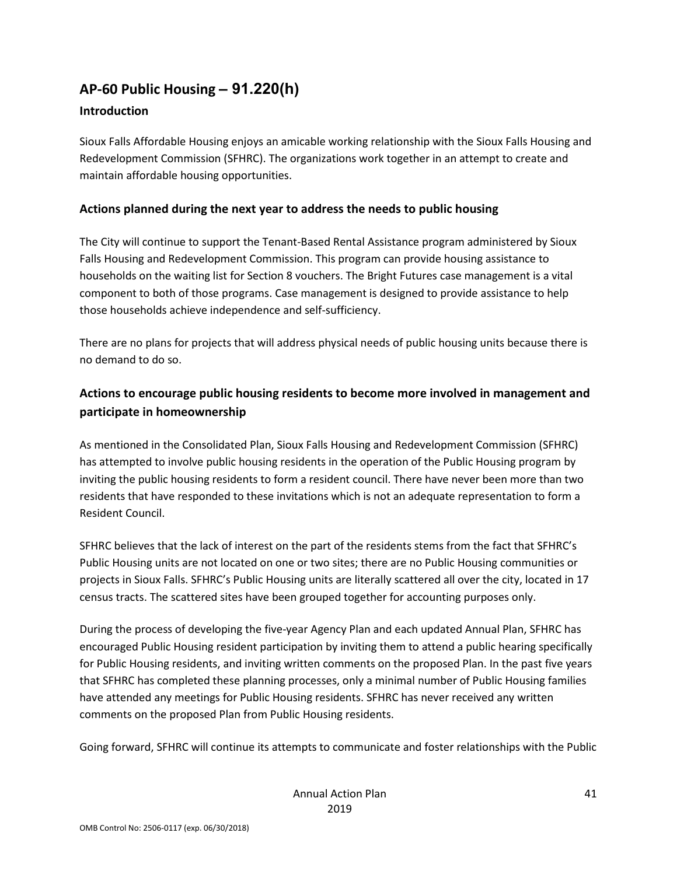# **AP-60 Public Housing** *–* **91.220(h)**

#### **Introduction**

Sioux Falls Affordable Housing enjoys an amicable working relationship with the Sioux Falls Housing and Redevelopment Commission (SFHRC). The organizations work together in an attempt to create and maintain affordable housing opportunities.

#### **Actions planned during the next year to address the needs to public housing**

The City will continue to support the Tenant-Based Rental Assistance program administered by Sioux Falls Housing and Redevelopment Commission. This program can provide housing assistance to households on the waiting list for Section 8 vouchers. The Bright Futures case management is a vital component to both of those programs. Case management is designed to provide assistance to help those households achieve independence and self-sufficiency.

There are no plans for projects that will address physical needs of public housing units because there is no demand to do so.

#### **Actions to encourage public housing residents to become more involved in management and participate in homeownership**

As mentioned in the Consolidated Plan, Sioux Falls Housing and Redevelopment Commission (SFHRC) has attempted to involve public housing residents in the operation of the Public Housing program by inviting the public housing residents to form a resident council. There have never been more than two residents that have responded to these invitations which is not an adequate representation to form a Resident Council.

SFHRC believes that the lack of interest on the part of the residents stems from the fact that SFHRC's Public Housing units are not located on one or two sites; there are no Public Housing communities or projects in Sioux Falls. SFHRC's Public Housing units are literally scattered all over the city, located in 17 census tracts. The scattered sites have been grouped together for accounting purposes only.

During the process of developing the five-year Agency Plan and each updated Annual Plan, SFHRC has encouraged Public Housing resident participation by inviting them to attend a public hearing specifically for Public Housing residents, and inviting written comments on the proposed Plan. In the past five years that SFHRC has completed these planning processes, only a minimal number of Public Housing families have attended any meetings for Public Housing residents. SFHRC has never received any written comments on the proposed Plan from Public Housing residents.

Going forward, SFHRC will continue its attempts to communicate and foster relationships with the Public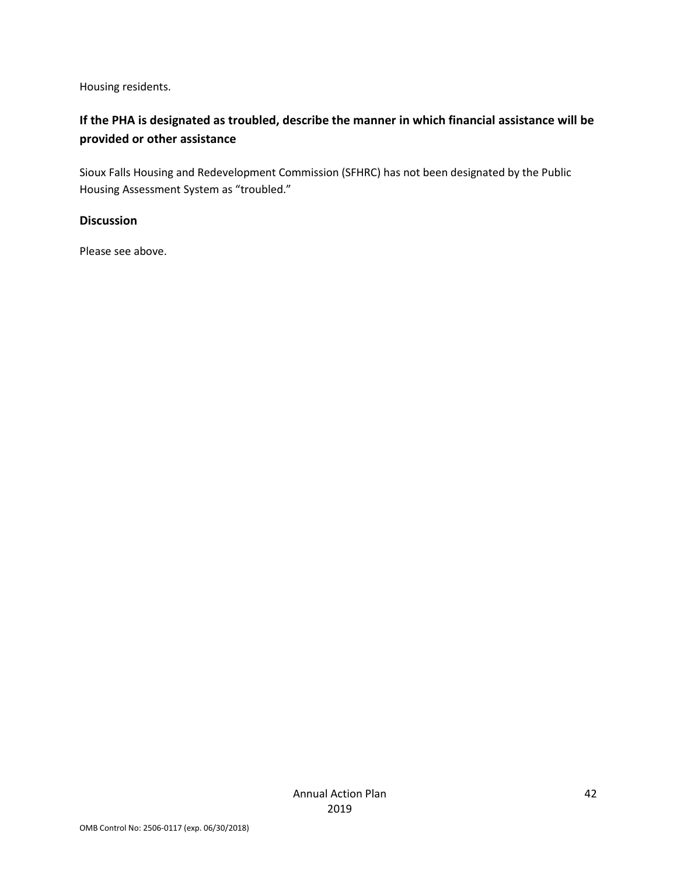Housing residents.

# **If the PHA is designated as troubled, describe the manner in which financial assistance will be provided or other assistance**

Sioux Falls Housing and Redevelopment Commission (SFHRC) has not been designated by the Public Housing Assessment System as "troubled."

#### **Discussion**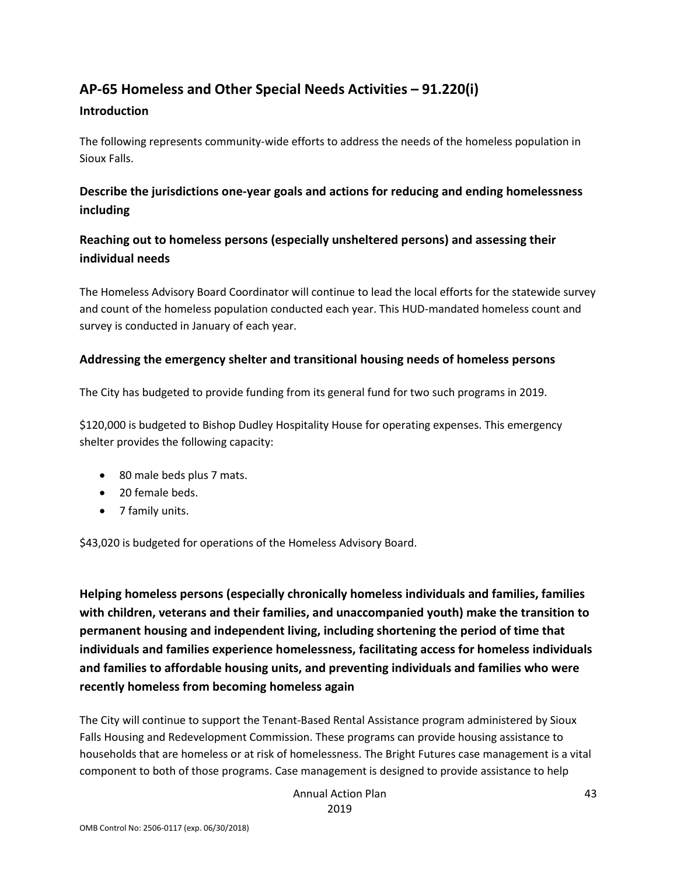# **AP-65 Homeless and Other Special Needs Activities – 91.220(i)**

#### **Introduction**

The following represents community-wide efforts to address the needs of the homeless population in Sioux Falls.

# **Describe the jurisdictions one-year goals and actions for reducing and ending homelessness including**

#### **Reaching out to homeless persons (especially unsheltered persons) and assessing their individual needs**

The Homeless Advisory Board Coordinator will continue to lead the local efforts for the statewide survey and count of the homeless population conducted each year. This HUD-mandated homeless count and survey is conducted in January of each year.

#### **Addressing the emergency shelter and transitional housing needs of homeless persons**

The City has budgeted to provide funding from its general fund for two such programs in 2019.

\$120,000 is budgeted to Bishop Dudley Hospitality House for operating expenses. This emergency shelter provides the following capacity:

- 80 male beds plus 7 mats.
- 20 female beds.
- 7 family units.

\$43,020 is budgeted for operations of the Homeless Advisory Board.

**Helping homeless persons (especially chronically homeless individuals and families, families with children, veterans and their families, and unaccompanied youth) make the transition to permanent housing and independent living, including shortening the period of time that individuals and families experience homelessness, facilitating access for homeless individuals and families to affordable housing units, and preventing individuals and families who were recently homeless from becoming homeless again**

The City will continue to support the Tenant-Based Rental Assistance program administered by Sioux Falls Housing and Redevelopment Commission. These programs can provide housing assistance to households that are homeless or at risk of homelessness. The Bright Futures case management is a vital component to both of those programs. Case management is designed to provide assistance to help

> Annual Action Plan 2019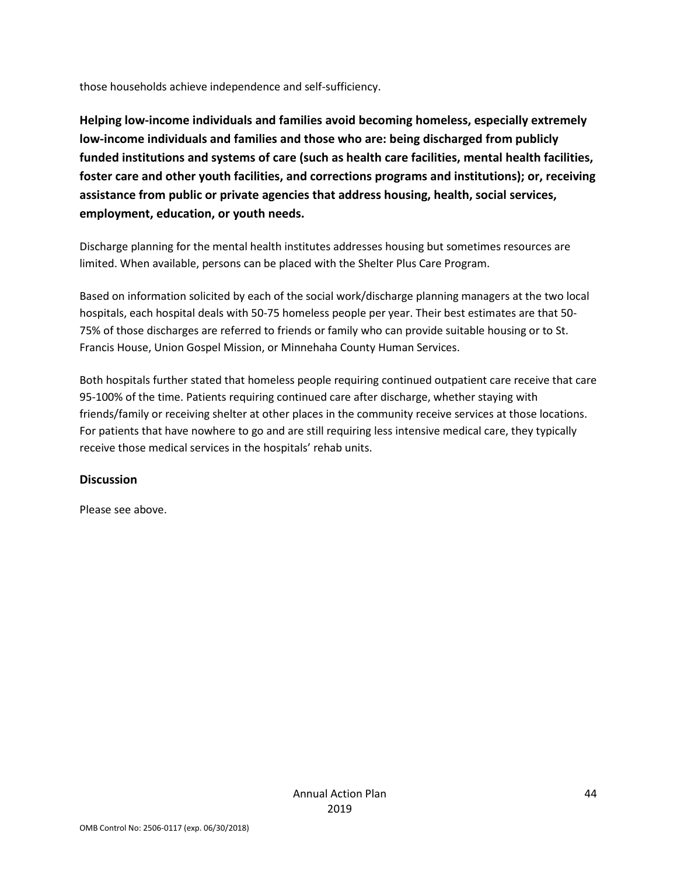those households achieve independence and self-sufficiency.

**Helping low-income individuals and families avoid becoming homeless, especially extremely low-income individuals and families and those who are: being discharged from publicly funded institutions and systems of care (such as health care facilities, mental health facilities, foster care and other youth facilities, and corrections programs and institutions); or, receiving assistance from public or private agencies that address housing, health, social services, employment, education, or youth needs.**

Discharge planning for the mental health institutes addresses housing but sometimes resources are limited. When available, persons can be placed with the Shelter Plus Care Program.

Based on information solicited by each of the social work/discharge planning managers at the two local hospitals, each hospital deals with 50-75 homeless people per year. Their best estimates are that 50- 75% of those discharges are referred to friends or family who can provide suitable housing or to St. Francis House, Union Gospel Mission, or Minnehaha County Human Services.

Both hospitals further stated that homeless people requiring continued outpatient care receive that care 95-100% of the time. Patients requiring continued care after discharge, whether staying with friends/family or receiving shelter at other places in the community receive services at those locations. For patients that have nowhere to go and are still requiring less intensive medical care, they typically receive those medical services in the hospitals' rehab units.

#### **Discussion**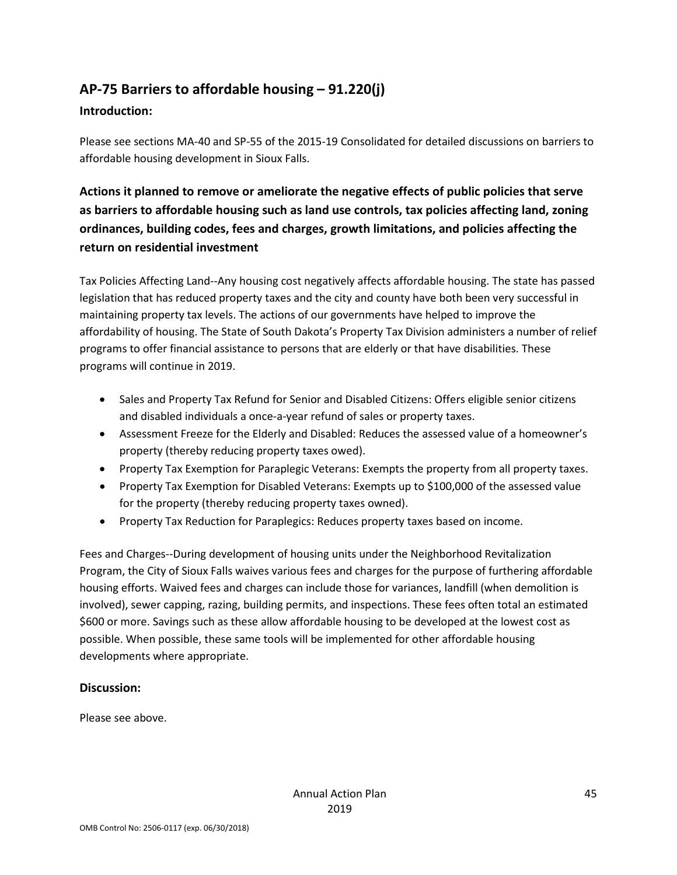# **AP-75 Barriers to affordable housing – 91.220(j)**

#### **Introduction:**

Please see sections MA-40 and SP-55 of the 2015-19 Consolidated for detailed discussions on barriers to affordable housing development in Sioux Falls.

# **Actions it planned to remove or ameliorate the negative effects of public policies that serve as barriers to affordable housing such as land use controls, tax policies affecting land, zoning ordinances, building codes, fees and charges, growth limitations, and policies affecting the return on residential investment**

Tax Policies Affecting Land--Any housing cost negatively affects affordable housing. The state has passed legislation that has reduced property taxes and the city and county have both been very successful in maintaining property tax levels. The actions of our governments have helped to improve the affordability of housing. The State of South Dakota's Property Tax Division administers a number of relief programs to offer financial assistance to persons that are elderly or that have disabilities. These programs will continue in 2019.

- Sales and Property Tax Refund for Senior and Disabled Citizens: Offers eligible senior citizens and disabled individuals a once-a-year refund of sales or property taxes.
- Assessment Freeze for the Elderly and Disabled: Reduces the assessed value of a homeowner's property (thereby reducing property taxes owed).
- Property Tax Exemption for Paraplegic Veterans: Exempts the property from all property taxes.
- Property Tax Exemption for Disabled Veterans: Exempts up to \$100,000 of the assessed value for the property (thereby reducing property taxes owned).
- Property Tax Reduction for Paraplegics: Reduces property taxes based on income.

Fees and Charges--During development of housing units under the Neighborhood Revitalization Program, the City of Sioux Falls waives various fees and charges for the purpose of furthering affordable housing efforts. Waived fees and charges can include those for variances, landfill (when demolition is involved), sewer capping, razing, building permits, and inspections. These fees often total an estimated \$600 or more. Savings such as these allow affordable housing to be developed at the lowest cost as possible. When possible, these same tools will be implemented for other affordable housing developments where appropriate.

#### **Discussion:**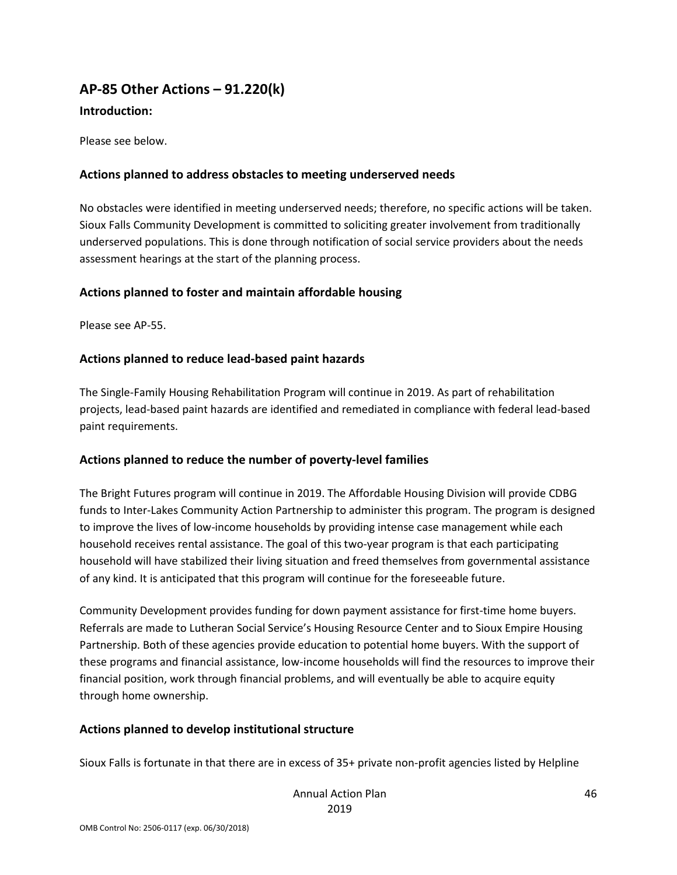# **AP-85 Other Actions – 91.220(k)**

#### **Introduction:**

Please see below.

#### **Actions planned to address obstacles to meeting underserved needs**

No obstacles were identified in meeting underserved needs; therefore, no specific actions will be taken. Sioux Falls Community Development is committed to soliciting greater involvement from traditionally underserved populations. This is done through notification of social service providers about the needs assessment hearings at the start of the planning process.

#### **Actions planned to foster and maintain affordable housing**

Please see AP-55.

#### **Actions planned to reduce lead-based paint hazards**

The Single-Family Housing Rehabilitation Program will continue in 2019. As part of rehabilitation projects, lead-based paint hazards are identified and remediated in compliance with federal lead-based paint requirements.

#### **Actions planned to reduce the number of poverty-level families**

The Bright Futures program will continue in 2019. The Affordable Housing Division will provide CDBG funds to Inter-Lakes Community Action Partnership to administer this program. The program is designed to improve the lives of low-income households by providing intense case management while each household receives rental assistance. The goal of this two-year program is that each participating household will have stabilized their living situation and freed themselves from governmental assistance of any kind. It is anticipated that this program will continue for the foreseeable future.

Community Development provides funding for down payment assistance for first-time home buyers. Referrals are made to Lutheran Social Service's Housing Resource Center and to Sioux Empire Housing Partnership. Both of these agencies provide education to potential home buyers. With the support of these programs and financial assistance, low-income households will find the resources to improve their financial position, work through financial problems, and will eventually be able to acquire equity through home ownership.

#### **Actions planned to develop institutional structure**

Sioux Falls is fortunate in that there are in excess of 35+ private non-profit agencies listed by Helpline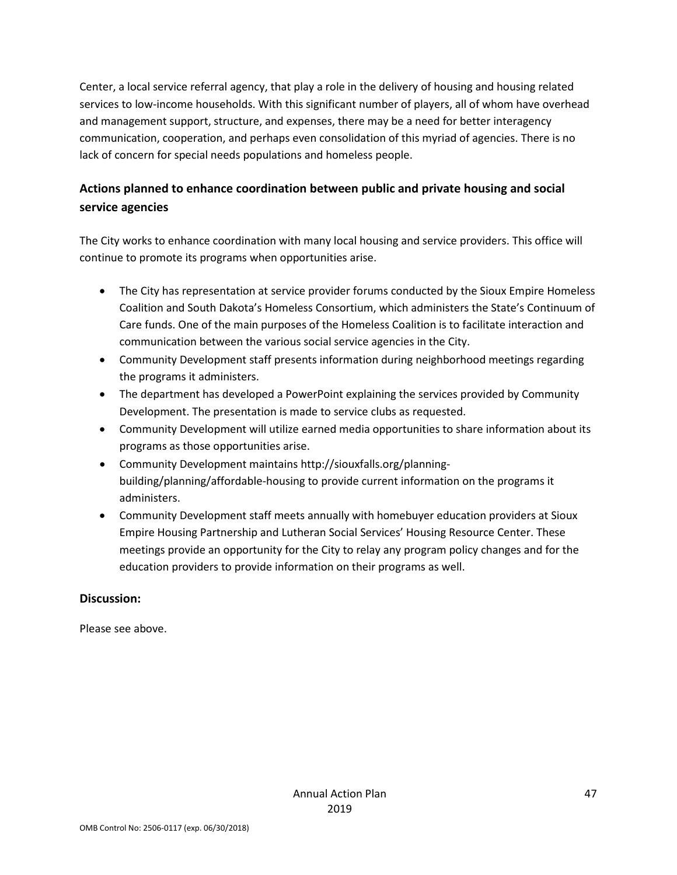Center, a local service referral agency, that play a role in the delivery of housing and housing related services to low-income households. With this significant number of players, all of whom have overhead and management support, structure, and expenses, there may be a need for better interagency communication, cooperation, and perhaps even consolidation of this myriad of agencies. There is no lack of concern for special needs populations and homeless people.

# **Actions planned to enhance coordination between public and private housing and social service agencies**

The City works to enhance coordination with many local housing and service providers. This office will continue to promote its programs when opportunities arise.

- The City has representation at service provider forums conducted by the Sioux Empire Homeless Coalition and South Dakota's Homeless Consortium, which administers the State's Continuum of Care funds. One of the main purposes of the Homeless Coalition is to facilitate interaction and communication between the various social service agencies in the City.
- Community Development staff presents information during neighborhood meetings regarding the programs it administers.
- The department has developed a PowerPoint explaining the services provided by Community Development. The presentation is made to service clubs as requested.
- Community Development will utilize earned media opportunities to share information about its programs as those opportunities arise.
- Community Development maintains http://siouxfalls.org/planningbuilding/planning/affordable-housing to provide current information on the programs it administers.
- Community Development staff meets annually with homebuyer education providers at Sioux Empire Housing Partnership and Lutheran Social Services' Housing Resource Center. These meetings provide an opportunity for the City to relay any program policy changes and for the education providers to provide information on their programs as well.

#### **Discussion:**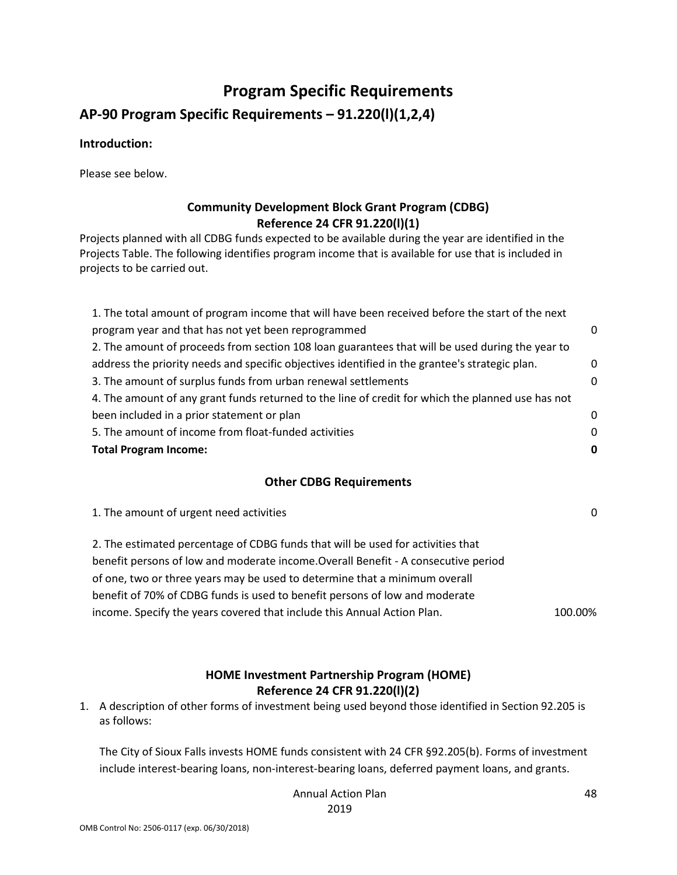# **Program Specific Requirements**

**AP-90 Program Specific Requirements – 91.220(l)(1,2,4)**

#### **Introduction:**

Please see below.

#### **Community Development Block Grant Program (CDBG) Reference 24 CFR 91.220(l)(1)**

Projects planned with all CDBG funds expected to be available during the year are identified in the Projects Table. The following identifies program income that is available for use that is included in projects to be carried out.

| 0 |
|---|
|   |
| 0 |
| 0 |
|   |
| 0 |
| 0 |
| 0 |
|   |

#### **Other CDBG Requirements**

1. The amount of urgent need activities 0

2. The estimated percentage of CDBG funds that will be used for activities that benefit persons of low and moderate income.Overall Benefit - A consecutive period of one, two or three years may be used to determine that a minimum overall benefit of 70% of CDBG funds is used to benefit persons of low and moderate income. Specify the years covered that include this Annual Action Plan. 100.00%

#### **HOME Investment Partnership Program (HOME) Reference 24 CFR 91.220(l)(2)**

1. A description of other forms of investment being used beyond those identified in Section 92.205 is as follows:

The City of Sioux Falls invests HOME funds consistent with 24 CFR §92.205(b). Forms of investment include interest-bearing loans, non-interest-bearing loans, deferred payment loans, and grants.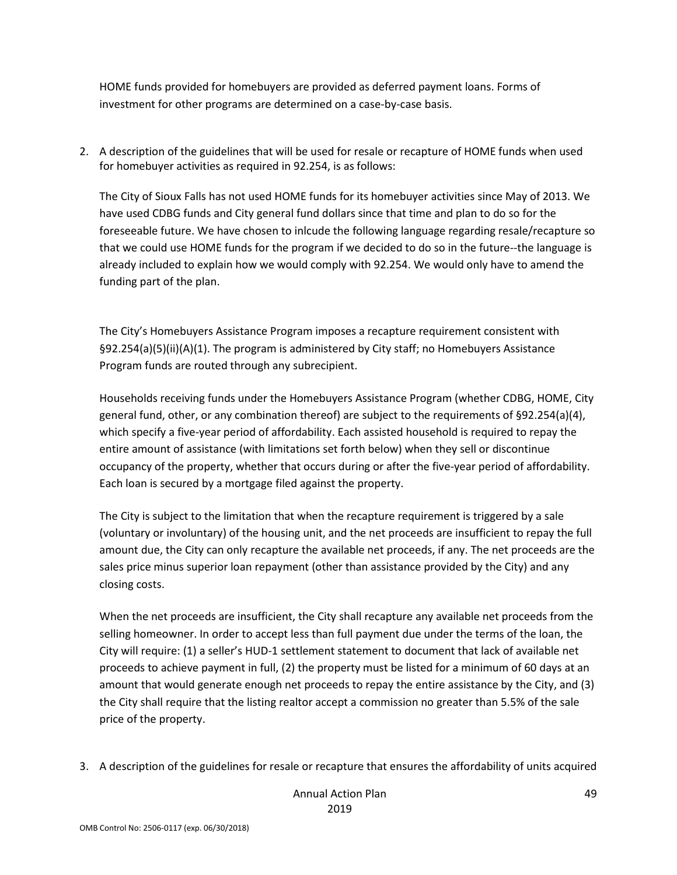HOME funds provided for homebuyers are provided as deferred payment loans. Forms of investment for other programs are determined on a case-by-case basis.

2. A description of the guidelines that will be used for resale or recapture of HOME funds when used for homebuyer activities as required in 92.254, is as follows:

The City of Sioux Falls has not used HOME funds for its homebuyer activities since May of 2013. We have used CDBG funds and City general fund dollars since that time and plan to do so for the foreseeable future. We have chosen to inlcude the following language regarding resale/recapture so that we could use HOME funds for the program if we decided to do so in the future--the language is already included to explain how we would comply with 92.254. We would only have to amend the funding part of the plan.

The City's Homebuyers Assistance Program imposes a recapture requirement consistent with §92.254(a)(5)(ii)(A)(1). The program is administered by City staff; no Homebuyers Assistance Program funds are routed through any subrecipient.

Households receiving funds under the Homebuyers Assistance Program (whether CDBG, HOME, City general fund, other, or any combination thereof) are subject to the requirements of §92.254(a)(4), which specify a five-year period of affordability. Each assisted household is required to repay the entire amount of assistance (with limitations set forth below) when they sell or discontinue occupancy of the property, whether that occurs during or after the five-year period of affordability. Each loan is secured by a mortgage filed against the property.

The City is subject to the limitation that when the recapture requirement is triggered by a sale (voluntary or involuntary) of the housing unit, and the net proceeds are insufficient to repay the full amount due, the City can only recapture the available net proceeds, if any. The net proceeds are the sales price minus superior loan repayment (other than assistance provided by the City) and any closing costs.

When the net proceeds are insufficient, the City shall recapture any available net proceeds from the selling homeowner. In order to accept less than full payment due under the terms of the loan, the City will require: (1) a seller's HUD-1 settlement statement to document that lack of available net proceeds to achieve payment in full, (2) the property must be listed for a minimum of 60 days at an amount that would generate enough net proceeds to repay the entire assistance by the City, and (3) the City shall require that the listing realtor accept a commission no greater than 5.5% of the sale price of the property.

3. A description of the guidelines for resale or recapture that ensures the affordability of units acquired